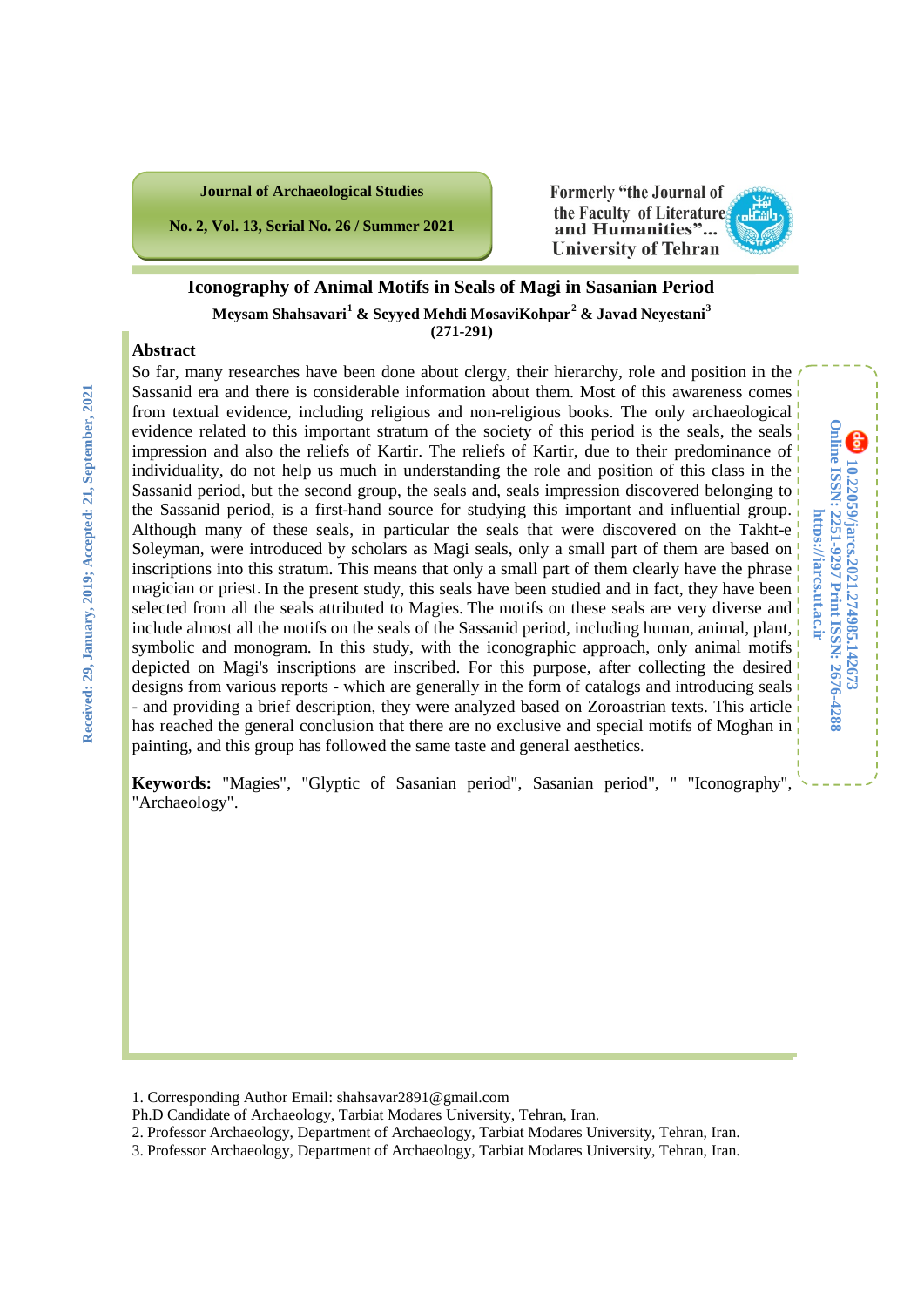**No. 2, Vol. 13, Serial No. 26 / Summer 2021**

#### Formerly "the Journal of the Faculty of Literature and Humanities"... **University of Tehran**

### **Iconography of Animal Motifs in Seals of Magi in Sasanian Period Meysam Shahsavari[1](#page-0-0) & Seyyed Mehdi MosaviKohpar[2](#page-0-1) & Javad Neyestani[3](#page-0-2) (271-291)**

#### **Abstract**

So far, many researches have been done about clergy, their hierarchy, role and position in the Sassanid era and there is considerable information about them. Most of this awareness comes from textual evidence, including religious and non-religious books. The only archaeological evidence related to this important stratum of the society of this period is the seals, the seals impression and also the reliefs of Kartir. The reliefs of Kartir, due to their predominance of individuality, do not help us much in understanding the role and position of this class in the Sassanid period, but the second group, the seals and, seals impression discovered belonging to the Sassanid period, is a first-hand source for studying this important and influential group. Although many of these seals, in particular the seals that were discovered on the Takht-e Soleyman, were introduced by scholars as Magi seals, only a small part of them are based on inscriptions into this stratum. This means that only a small part of them clearly have the phrase magician or priest. In the present study, this seals have been studied and in fact, they have been selected from all the seals attributed to Magies. The motifs on these seals are very diverse and include almost all the motifs on the seals of the Sassanid period, including human, animal, plant, symbolic and monogram. In this study, with the iconographic approach, only animal motifs depicted on Magi's inscriptions are inscribed. For this purpose, after collecting the desired designs from various reports - which are generally in the form of catalogs and introducing seals - and providing a brief description, they were analyzed based on Zoroastrian texts. This article has reached the general conclusion that there are no exclusive and special motifs of Moghan in painting, and this group has followed the same taste and general aesthetics.

**Keywords:** "Magies", "Glyptic of Sasanian period", Sasanian period", " "Iconography", "Archaeology".

**.** 

<span id="page-0-0"></span><sup>1.</sup> Corresponding Author Email: shahsavar2891@gmail.com

Ph.D Candidate of Archaeology, Tarbiat Modares University, Tehran, Iran.

<span id="page-0-1"></span><sup>2.</sup> Professor Archaeology, Department of Archaeology, Tarbiat Modares University, Tehran, Iran.

<span id="page-0-2"></span><sup>3.</sup> Professor Archaeology, Department of Archaeology, Tarbiat Modares University, Tehran, Iran.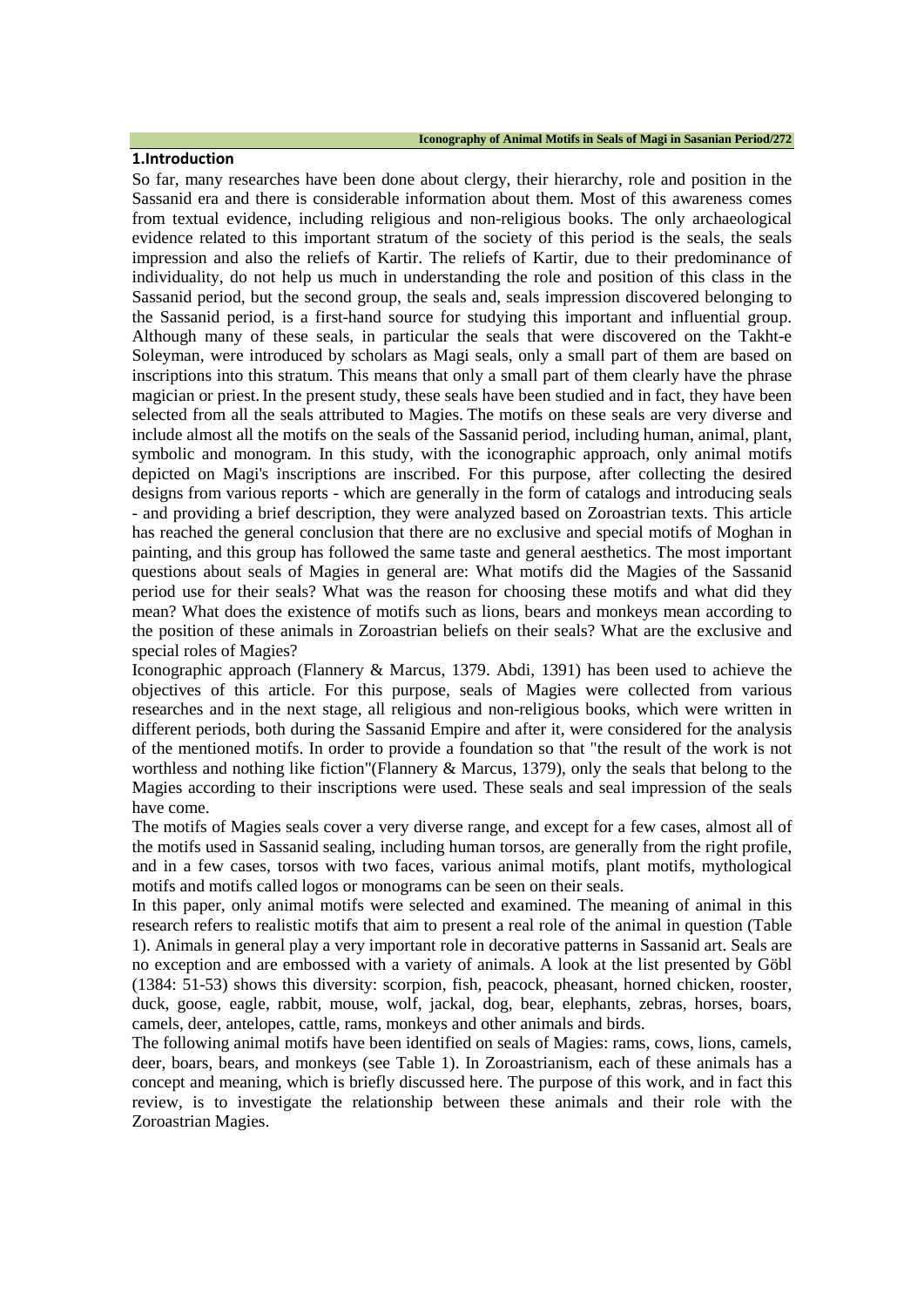#### **1.Introduction**

So far, many researches have been done about clergy, their hierarchy, role and position in the Sassanid era and there is considerable information about them. Most of this awareness comes from textual evidence, including religious and non-religious books. The only archaeological evidence related to this important stratum of the society of this period is the seals, the seals impression and also the reliefs of Kartir. The reliefs of Kartir, due to their predominance of individuality, do not help us much in understanding the role and position of this class in the Sassanid period, but the second group, the seals and, seals impression discovered belonging to the Sassanid period, is a first-hand source for studying this important and influential group. Although many of these seals, in particular the seals that were discovered on the Takht-e Soleyman, were introduced by scholars as Magi seals, only a small part of them are based on inscriptions into this stratum. This means that only a small part of them clearly have the phrase magician or priest.In the present study, these seals have been studied and in fact, they have been selected from all the seals attributed to Magies. The motifs on these seals are very diverse and include almost all the motifs on the seals of the Sassanid period, including human, animal, plant, symbolic and monogram. In this study, with the iconographic approach, only animal motifs depicted on Magi's inscriptions are inscribed. For this purpose, after collecting the desired designs from various reports - which are generally in the form of catalogs and introducing seals - and providing a brief description, they were analyzed based on Zoroastrian texts. This article has reached the general conclusion that there are no exclusive and special motifs of Moghan in painting, and this group has followed the same taste and general aesthetics. The most important questions about seals of Magies in general are: What motifs did the Magies of the Sassanid period use for their seals? What was the reason for choosing these motifs and what did they mean? What does the existence of motifs such as lions, bears and monkeys mean according to the position of these animals in Zoroastrian beliefs on their seals? What are the exclusive and special roles of Magies?

Iconographic approach (Flannery & Marcus, 1379. Abdi, 1391) has been used to achieve the objectives of this article. For this purpose, seals of Magies were collected from various researches and in the next stage, all religious and non-religious books, which were written in different periods, both during the Sassanid Empire and after it, were considered for the analysis of the mentioned motifs. In order to provide a foundation so that "the result of the work is not worthless and nothing like fiction"(Flannery & Marcus, 1379), only the seals that belong to the Magies according to their inscriptions were used. These seals and seal impression of the seals have come.

The motifs of Magies seals cover a very diverse range, and except for a few cases, almost all of the motifs used in Sassanid sealing, including human torsos, are generally from the right profile, and in a few cases, torsos with two faces, various animal motifs, plant motifs, mythological motifs and motifs called logos or monograms can be seen on their seals.

In this paper, only animal motifs were selected and examined. The meaning of animal in this research refers to realistic motifs that aim to present a real role of the animal in question (Table 1). Animals in general play a very important role in decorative patterns in Sassanid art. Seals are no exception and are embossed with a variety of animals. A look at the list presented by Göbl (1384: 51-53) shows this diversity: scorpion, fish, peacock, pheasant, horned chicken, rooster, duck, goose, eagle, rabbit, mouse, wolf, jackal, dog, bear, elephants, zebras, horses, boars, camels, deer, antelopes, cattle, rams, monkeys and other animals and birds.

The following animal motifs have been identified on seals of Magies: rams, cows, lions, camels, deer, boars, bears, and monkeys (see Table 1). In Zoroastrianism, each of these animals has a concept and meaning, which is briefly discussed here. The purpose of this work, and in fact this review, is to investigate the relationship between these animals and their role with the Zoroastrian Magies.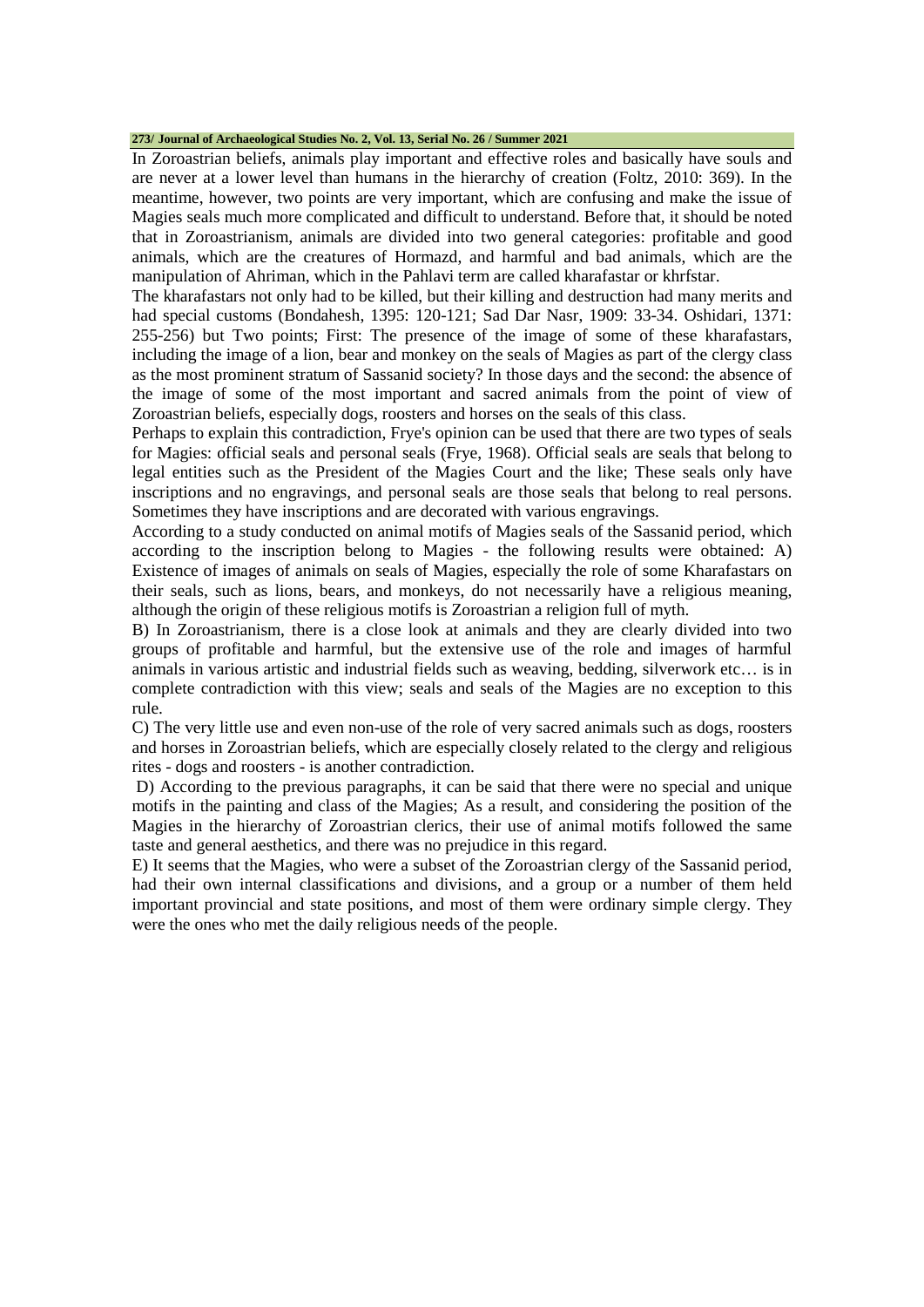#### **273/ Journal of Archaeological Studies No. 2, Vol. 13, Serial No. 26 / Summer 2021**

In Zoroastrian beliefs, animals play important and effective roles and basically have souls and are never at a lower level than humans in the hierarchy of creation (Foltz, 2010: 369). In the meantime, however, two points are very important, which are confusing and make the issue of Magies seals much more complicated and difficult to understand. Before that, it should be noted that in Zoroastrianism, animals are divided into two general categories: profitable and good animals, which are the creatures of Hormazd, and harmful and bad animals, which are the manipulation of Ahriman, which in the Pahlavi term are called kharafastar or khrfstar.

The kharafastars not only had to be killed, but their killing and destruction had many merits and had special customs (Bondahesh, 1395: 120-121; Sad Dar Nasr, 1909: 33-34. Oshidari, 1371: 255-256) but Two points; First: The presence of the image of some of these kharafastars, including the image of a lion, bear and monkey on the seals of Magies as part of the clergy class as the most prominent stratum of Sassanid society? In those days and the second: the absence of the image of some of the most important and sacred animals from the point of view of Zoroastrian beliefs, especially dogs, roosters and horses on the seals of this class.

Perhaps to explain this contradiction, Frye's opinion can be used that there are two types of seals for Magies: official seals and personal seals (Frye, 1968). Official seals are seals that belong to legal entities such as the President of the Magies Court and the like; These seals only have inscriptions and no engravings, and personal seals are those seals that belong to real persons. Sometimes they have inscriptions and are decorated with various engravings.

According to a study conducted on animal motifs of Magies seals of the Sassanid period, which according to the inscription belong to Magies - the following results were obtained: A) Existence of images of animals on seals of Magies, especially the role of some Kharafastars on their seals, such as lions, bears, and monkeys, do not necessarily have a religious meaning, although the origin of these religious motifs is Zoroastrian a religion full of myth.

B) In Zoroastrianism, there is a close look at animals and they are clearly divided into two groups of profitable and harmful, but the extensive use of the role and images of harmful animals in various artistic and industrial fields such as weaving, bedding, silverwork etc… is in complete contradiction with this view; seals and seals of the Magies are no exception to this rule.

C) The very little use and even non-use of the role of very sacred animals such as dogs, roosters and horses in Zoroastrian beliefs, which are especially closely related to the clergy and religious rites - dogs and roosters - is another contradiction.

D) According to the previous paragraphs, it can be said that there were no special and unique motifs in the painting and class of the Magies; As a result, and considering the position of the Magies in the hierarchy of Zoroastrian clerics, their use of animal motifs followed the same taste and general aesthetics, and there was no prejudice in this regard.

E) It seems that the Magies, who were a subset of the Zoroastrian clergy of the Sassanid period, had their own internal classifications and divisions, and a group or a number of them held important provincial and state positions, and most of them were ordinary simple clergy. They were the ones who met the daily religious needs of the people.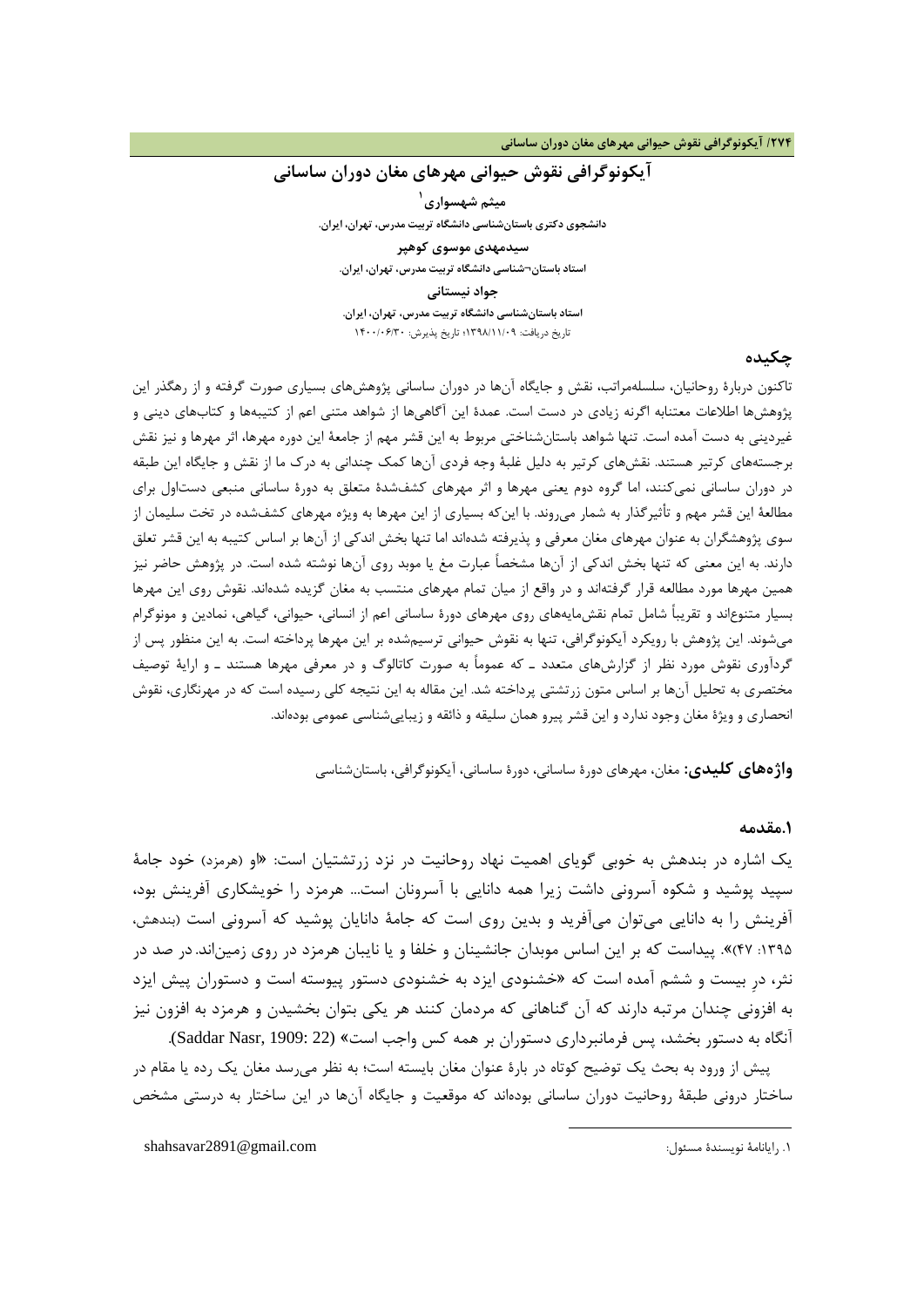## **آیکونوگرافی نقوش حیوانی مهرهاي مغان دوران ساسانی 1 میثم شهسواري دانشجوي دکتري باستانشناسی دانشگاه تربیت مدرس، تهران، ایران. سیدمهدي موسوي کوهپر استاد باستان¬شناسی دانشگاه تربیت مدرس، تهران، ایران. جواد نیستان[ی](#page-3-0) استاد باستانشناسی دانشگاه تربیت مدرس، تهران، ایران.** تاریخ دریافت: 1398/11/09؛ تاریخ پذیرش: 1400/06/30

### **چکیده**

تاکنون دربارة روحانیان، سلسلهمراتب، نقش و جایگاه آنها در دوران ساسانی پژوهشهاي بسیاري صورت گرفته و از رهگذر این پژوهشها اطلاعات معتنابه اگرنه زیادي در دست است. عمدة این آگاهیها از شواهد متنی اعم از کتیبهها و کتابهاي دینی و غیردینی به دست آمده است. تنها شواهد باستانشناختی مربوط به این قشر مهم از جامعۀ این دوره مهرها، اثر مهرها و نیز نقش برجستههاي کرتیر هستند. نقشهاي کرتیر به دلیل غلبۀ وجه فردي آنها کمک چندانی به درك ما از نقش و جایگاه این طبقه در دوران ساسانی نمیکنند، اما گروه دوم یعنی مهرها و اثر مهرهاي کشفشدة متعلق به دورة ساسانی منبعی دستاول براي مطالعۀ این قشر مهم و تأثیرگذار به شمار میروند. با اینکه بسیاري از این مهرها به ویژه مهرهاي کشفشده در تخت سلیمان از سوي پژوهشگران به عنوان مهرهاي مغان معرفی و پذیرفته شدهاند اما تنها بخش اندکی از آنها بر اساس کتیبه به این قشر تعلق دارند. به این معنی که تنها بخش اندکی از آنها مشخصاً عبارت مغ یا موبد روي آنها نوشته شده است. در پژوهش حاضر نیز همین مهرها مورد مطالعه قرار گرفتهاند و در واقع از میان تمام مهرهاي منتسب به مغان گزیده شدهاند. نقوش روي این مهرها بسیار متنوعاند و تقریباً شامل تمام نقشمایههاي روي مهرهاي دورة ساسانی اعم از انسانی، حیوانی، گیاهی، نمادین و مونوگرام میشوند. این پژوهش با رویکرد آیکونوگرافی، تنها به نقوش حیوانی ترسیمشده بر این مهرها پرداخته است. به این منظور پس از گردآوري نقوش مورد نظر از گزارشهاي متعدد ـ که عموماً به صورت کاتالوگ و در معرفی مهرها هستند ـ و ارایۀ توصیف مختصري به تحلیل آنها بر اساس متون زرتشتی پرداخته شد. این مقاله به این نتیجه کلی رسیده است که در مهرنگاري، نقوش انحصاري و ویژة مغان وجود ندارد و این قشر پیرو همان سلیقه و ذائقه و زیباییشناسی عمومی بودهاند.

**واژههاي کلیدي:** مغان، مهرهاي دورة ساسانی، دورة ساسانی، آیکونوگرافی، باستانشناسی

<u>.</u>

### **.1مقدمه**

یک اشاره در بندهش به خوبی گویاي اهمیت نهاد روحانیت در نزد زرتشتیان است: «او (هرمزد) خود جامۀ سپید پوشید و شکوه آسرونی داشت زیرا همه دانایی با آسرونان است... هرمزد را خویشکاري آفرینش بود، آفرینش را به دانایی میتوان میآفرید و بدین روي است که جامۀ دانایان پوشید که آسرونی است (بندهش، :1395 47)». پیداست که بر این اساس موبدان جانشینان و خلفا و یا نایبان هرمزد در روي زمیناند.در صد در نثر، درِ بیست و ششم آمده است که «خشنودي ایزد به خشنودي دستور پیوسته است و دستوران پیش ایزد به افزونی چندان مرتبه دارند که آن گناهانی که مردمان کنند هر یکی بتوان بخشیدن و هرمزد به افزون نیز آنگاه به دستور بخشد، پس فرمانبرداري دستوران بر همه کس واجب است» (22 :Saddar Nasr, 1909).

<span id="page-3-0"></span>پیش از ورود به بحث یک توضیح کوتاه در بارة عنوان مغان بایسته است؛ به نظر میرسد مغان یک رده یا مقام در ساختار درونی طبقۀ روحانیت دوران ساسانی بودهاند که موقعیت و جایگاه آنها در این ساختار به درستی مشخص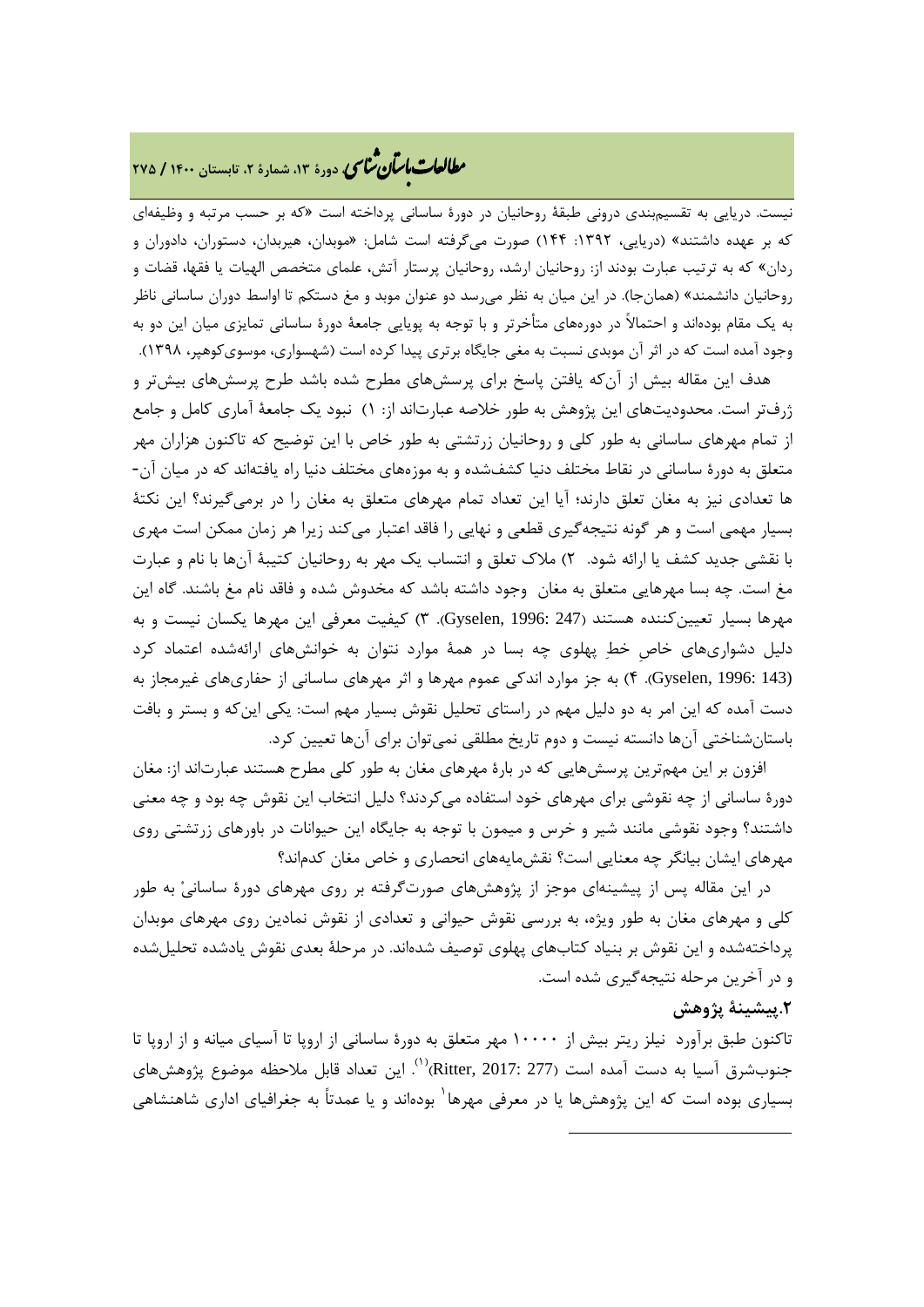# **، دورة ،13 شمارة ،2 تابستان <sup>1400</sup> / <sup>275</sup>** �نا� �طا ی �عات با�تان

نیست. دریایی به تقسیمبندي درونی طبقۀ روحانیان در دورة ساسانی پرداخته است «که بر حسب مرتبه و وظیفهاي که بر عهده داشتند» (دریایی، :1392 144) صورت میگرفته است شامل: «موبدان، هیربدان، دستوران، دادوران و ردان» که به ترتیب عبارت بودند از: روحانیان ارشد، روحانیان پرستار آتش، علماي متخصص الهیات یا فقها، قضات و روحانیان دانشمند» (همانجا). در این میان به نظر میرسد دو عنوان موبد و مغ دستکم تا اواسط دوران ساسانی ناظر به یک مقام بودهاند و احتمالاً در دورههاي متأخرتر و با توجه به پویایی جامعۀ دورة ساسانی تمایزي میان این دو به وجود آمده است که در اثر آن موبدي نسبت به مغی جایگاه برتري پیدا کرده است (شهسواري، موسويکوهپر، 1398).

هدف این مقاله بیش از آنکه یافتن پاسخ براي پرسشهاي مطرح شده باشد طرح پرسشهاي بیشتر و ژرفتر است. محدودیتهاي این پژوهش به طور خلاصه عبارتاند از: 1) نبود یک جامعۀ آماري کامل و جامع از تمام مهرهاي ساسانی به طور کلی و روحانیان زرتشتی به طور خاص با این توضیح که تاکنون هزاران مهر متعلق به دورة ساسانی در نقاط مختلف دنیا کشفشده و به موزههاي مختلف دنیا راه یافتهاند که در میان آن- ها تعدادي نیز به مغان تعلق دارند؛ آیا این تعداد تمام مهرهاي متعلق به مغان را در برمیگیرند؟ این نکتۀ بسیار مهمی است و هر گونه نتیجهگیري قطعی و نهایی را فاقد اعتبار میکند زیرا هر زمان ممکن است مهري با نقشی جدید کشف یا ارائه شود. 2) ملاك تعلق و انتساب یک مهر به روحانیان کتیبۀ آنها با نام و عبارت مغ است. چه بسا مهرهایی متعلق به مغان وجود داشته باشد که مخدوش شده و فاقد نام مغ باشند. گاه این مهرها بسیار تعیینکننده هستند (247 1996: ,Gyselen(. 3 (کیفیت معرفی این مهرها یکسان نیست و به دلیل دشواريهاي خاصِ خط پهلوي چه بسا در همۀ موارد نتوان به خوانشهاي ارائهشده اعتماد کرد (143 1996: ,Gyselen(. 4 (به جز موارد اندکی عموم مهرها و اثر مهرهاي ساسانی از حفاريهاي غیرمجاز به دست آمده که این امر به دو دلیل مهم در راستاي تحلیل نقوش بسیار مهم است: یکی اینکه و بستر و بافت باستانشناختی آنها دانسته نیست و دوم تاریخ مطلقی نمیتوان براي آنها تعیین کرد.

افزون بر این مهمترین پرسشهایی که در بارة مهرهاي مغان به طور کلی مطرح هستند عبارتاند از: مغان دورة ساسانی از چه نقوشی براي مهرهاي خود استفاده میکردند؟ دلیل انتخاب این نقوش چه بود و چه معنی داشتند؟ وجود نقوشی مانند شیر و خرس و میمون با توجه به جایگاه این حیوانات در باورهاي زرتشتی روي مهرهاي ایشان بیانگر چه معنایی است؟ نقشمایههاي انحصاري و خاص مغان کدماند؟

در این مقاله پس از پیشینهاي موجز از پژوهشهاي صورتگرفته بر روي مهرهاي دورة ساسانی به طور کلی و مهرهاي مغان به طور ویژه، به بررسی نقوش حیوانی و تعدادي از نقوش نمادین روي مهرهاي موبدان پرداختهشده و این نقوش بر بنیاد کتابهاي پهلوي توصیف شدهاند. در مرحلۀ بعدي نقوش یادشده تحلیلشده و در آخرین مرحله نتیجهگیري شده است.

## **.2پیشینۀ پژوهش**

<span id="page-4-0"></span>تاکنون طبق برآورد نیلز ریتر بیش از 10000 مهر متعلق به دورة ساسانی از اروپا تا آسیاي میانه و از اروپا تا جنوبشرق آسیا به دست آمده است (277 :217Ritter, 2017)("). این تعداد قابل ملاحظه موضوع پژوهشهای بسیاری بوده است که این پژوهشها یا در معرفی مهرها<sup>٬</sup> بودهاند و یا عمدتاً به جغرافیای اداری شاهنشاهی

**.**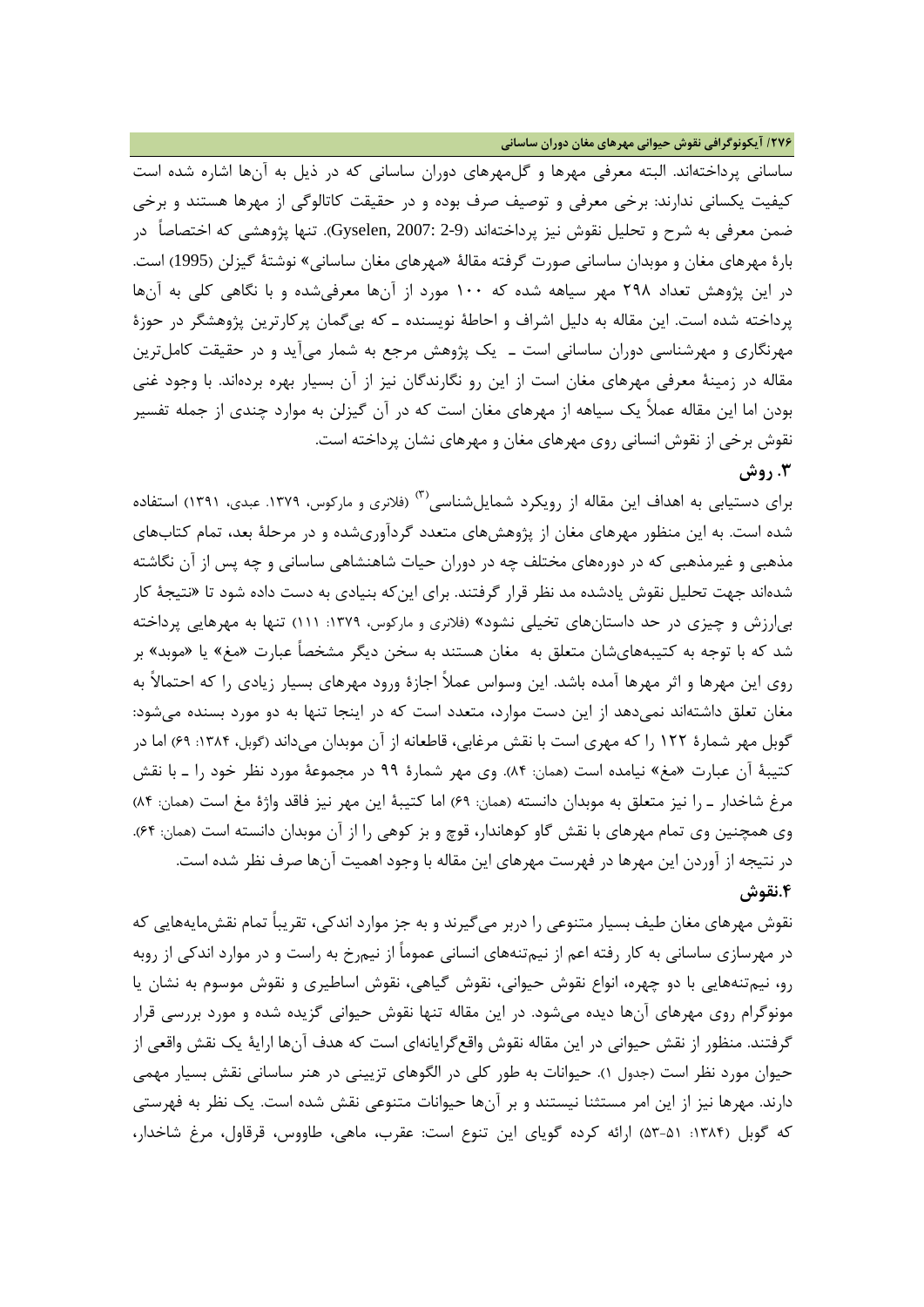**/276 آیکونوگرافی نقوش حیوانی مهرهاي مغان دوران ساسانی**

ساسانی پرداخت[هاند.](#page-4-0) البته معرفی مهرها و گلمهرهاي دوران ساسانی که در ذیل به آنها اشاره شده است کیفیت یکسانی ندارند: برخی معرفی و توصیف صرف بوده و در حقیقت کاتالوگی از مهرها هستند و برخی ضمن معرفی به شرح و تحلیل نقوش نیز پرداختهاند (2-9 2007: ,Gyselen(. تنها پژوهشی که اختصاصاً در بارة مهرهاي مغان و موبدان ساسانی صورت گرفته مقالۀ «مهرهاي مغان ساسانی» نوشتۀ گیزلن (1995) است. در این پژوهش تعداد 298 مهر سیاهه شده که 100 مورد از آنها معرفیشده و با نگاهی کلی به آنها پرداخته شده است. این مقاله به دلیل اشراف و احاطۀ نویسنده ـ که بیگمان پرکارترین پژوهشگر در حوزة مهرنگاري و مهرشناسی دوران ساسانی است ـ یک پژوهش مرجع به شمار میآید و در حقیقت کاملترین مقاله در زمینۀ معرفی مهرهاي مغان است از این رو نگارندگان نیز از آن بسیار بهره بردهاند. با وجود غنی بودن اما این مقاله عملاً یک سیاهه از مهرهاي مغان است که در آن گیزلن به موارد چندي از جمله تفسیر نقوش برخی از نقوش انسانی روي مهرهاي مغان و مهرهاي نشان پرداخته است. **.3 روش**

براي دستيابي به اهداف اين مقاله از رویکرد شمايلشناسی<sup>(۳)</sup> (فلانري و مارکوس، ۱۳۷۹. عبدي، ۱۳۹۱) استفاده شده است. به این منظور مهرهاي مغان از پژوهشهاي متعدد گردآوريشده و در مرحلۀ بعد، تمام کتابهاي مذهبی و غیرمذهبی که در دورههاي مختلف چه در دوران حیات شاهنشاهی ساسانی و چه پس از آن نگاشته شدهاند جهت تحلیل نقوش یادشده مد نظر قرار گرفتند. براي اینکه بنیادي به دست داده شود تا «نتیجۀ کار بیارزش و چیزي در حد داستانهاي تخیلی نشود» (فلانري و مارکوس، :1379 111) تنها به مهرهایی پرداخته شد که با توجه به کتیبههايشان متعلق به مغان هستند به سخن دیگر مشخصاً عبارت «مغ» یا «موبد» بر روي این مهرها و اثر مهرها آمده باشد. این وسواس عملاً اجازة ورود مهرهاي بسیار زیادي را که احتمالاً به مغان تعلق داشتهاند نمیدهد از این دست موارد، متعدد است که در اینجا تنها به دو مورد بسنده میشود: گوبل مهر شمارهٔ ۱۲۲ را که مهري است با نقش مرغابي، قاطعانه از آن موبدان ميداند (گوبل، ۱۳۸۴: ۶۹) اما در کتیبۀ آن عبارت «مغ» نیامده است (همان: 84). وي مهر شمارة 99 در مجموعۀ مورد نظر خود را ـ با نقش مرغ شاخدار ـ را نیز متعلق به موبدان دانسته (همان: 69) اما کتیبۀ این مهر نیز فاقد واژة مغ است (همان: 84) وي همچنین وي تمام مهرهاي با نقش گاو کوهاندار، قوچ و بز کوهی را از آن موبدان دانسته است (همان: 64). در نتیجه از آوردن این مهرها در فهرست مهرهاي این مقاله با وجود اهمیت آنها صرف نظر شده است. **.4نقوش**

نقوش مهرهای مغان طیف بسیار متنوعی را دربر می گیرند و به جز موارد اندکی، تقریباً تمام نقش،مایههایی که در مهرسازي ساسانی به کار رفته اعم از نیمتنههاي انسانی عموماً از نیمرخ به راست و در موارد اندکی از روبه رو، نیمتنههایی با دو چهره، انواع نقوش حیوانی، نقوش گیاهی، نقوش اساطیري و نقوش موسوم به نشان یا مونوگرام روي مهرهاي آنها دیده میشود. در این مقاله تنها نقوش حیوانی گزیده شده و مورد بررسی قرار گرفتند. منظور از نقش حیوانی در این مقاله نقوش واقعگرایانهاي است که هدف آنها ارایۀ یک نقش واقعی از حیوان مورد نظر است (جدول 1). حیوانات به طور کلی در الگوهاي تزیینی در هنر ساسانی نقش بسیار مهمی دارند. مهرها نیز از این امر مستثنا نیستند و بر آنها حیوانات متنوعی نقش شده است. یک نظر به فهرستی که گوبل (۱۳۸۴: ۵۱–۵۳) ارائه کرده گویای این تنوع است: عقرب، ماهی، طاووس، قرقاول، مرغ شاخدار،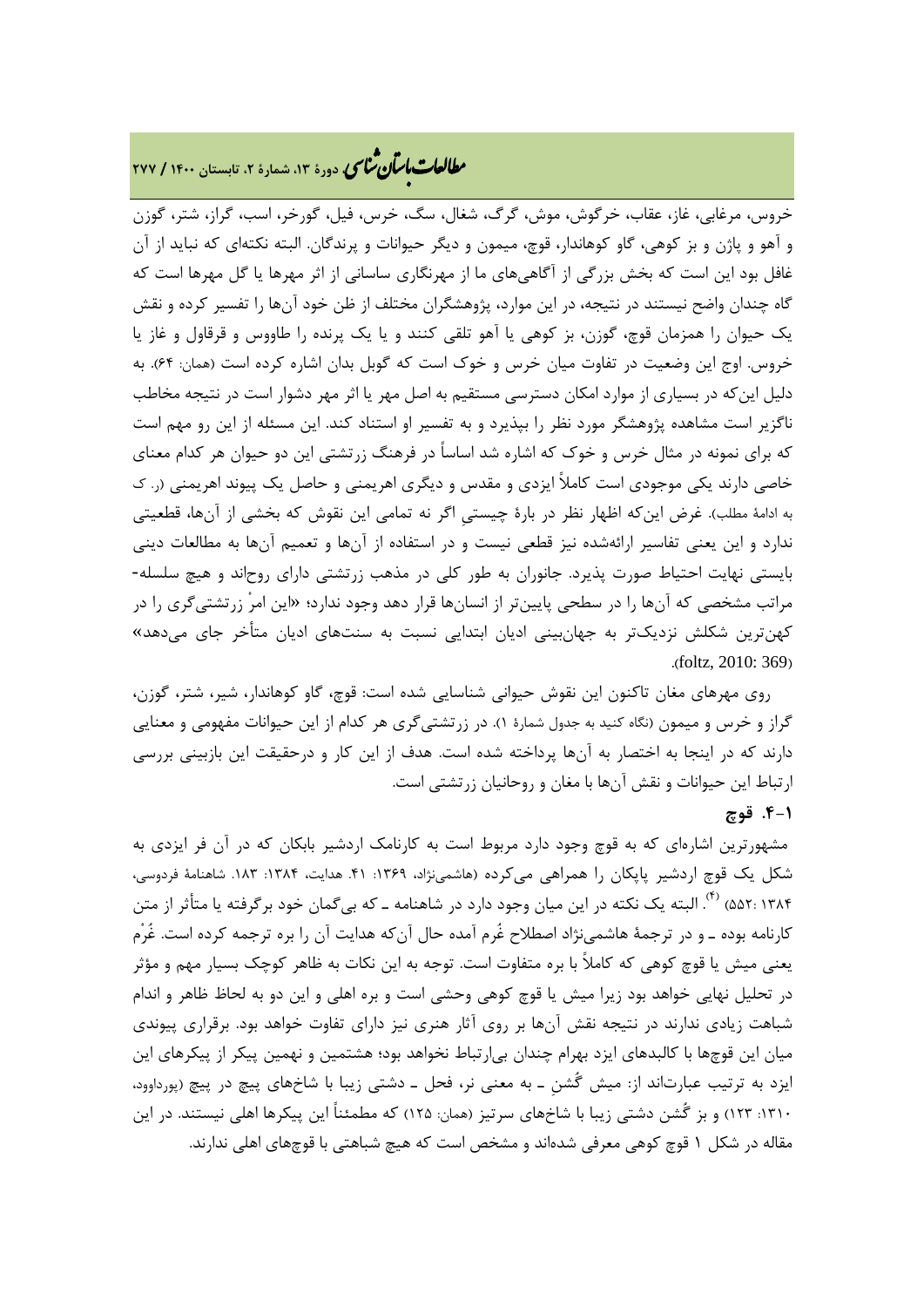# **، دورة ،13 شمارة ،2 تابستان <sup>1400</sup> / <sup>277</sup>** �نا� �طا ی �عات با�تان

خروس، مرغابی، غاز، عقاب، خرگوش، موش، گرگ، شغال، سگ، خرس، فیل، گورخر، اسب، گراز، شتر، گوزن و آهو و پاژن و بز کوهی، گاو کوهاندار، قوچ، میمون و دیگر حیوانات و پرندگان. البته نکتهاي که نباید از آن غافل بود این است که بخش بزرگی از آگاهیهاي ما از مهرنگاري ساسانی از اثر مهرها یا گل مهرها است که گاه چندان واضح نیستند در نتیجه، در این موارد، پژوهشگران مختلف از ظن خود آنها را تفسیر کرده و نقش یک حیوان را همزمان قوچ، گوزن، بز کوهی یا آهو تلقی کنند و یا یک پرنده را طاووس و قرقاول و غاز یا خروس. اوج این وضعیت در تفاوت میان خرس و خوك است که گوبل بدان اشاره کرده است (همان: 64). به دلیل اینکه در بسیاري از موارد امکان دسترسی مستقیم به اصل مهر یا اثر مهر دشوار است در نتیجه مخاطب ناگزیر است مشاهده پژوهشگر مورد نظر را بپذیرد و به تفسیر او استناد کند. این مسئله از این رو مهم است که براي نمونه در مثال خرس و خوك که اشاره شد اساساً در فرهنگ زرتشتی این دو حیوان هر کدام معناي خاصی دارند یکی موجودي است کاملاً ایزدي و مقدس و دیگري اهریمنی و حاصل یک پیوند اهریمنی (ر. ك به ادامۀ مطلب). غرض اینکه اظهار نظر در بارة چیستیِ اگر نه تمامی این نقوش که بخشی از آنها، قطعیتی ندارد و این یعنی تفاسیر ارائهشده نیز قطعی نیست و در استفاده از آنها و تعمیم آنها به مطالعات دینی بایستی نهایت احتیاط صورت پذیرد. جانوران به طور کلی در مذهب زرتشتی داراي روحاند و هیچ سلسله- مراتب مشخصی که آنها را در سطحی پایینتر از انسانها قرار دهد وجود ندارد؛ «این امرْ زرتشتیگري را در کهنترین شکلش نزدیکتر به جهانبینی ادیان ابتدایی نسبت به سنتهاي ادیان متأخر جاي میدهد» .(foltz, 2010: 369)

روي مهرهاي مغان تاکنون این نقوش حیوانی شناسایی شده است: قوچ، گاو کوهاندار، شیر، شتر، گوزن، گراز و خرس و میمون (نگاه کنید به جدول شمارة 1). در زرتشتیگري هر کدام از این حیوانات مفهومی و معنایی دارند که در اینجا به اختصار به آنها پرداخته شده است. هدف از این کار و درحقیقت این بازبینی بررسی ارتباط این حیوانات و نقش آنها با مغان و روحانیان زرتشتی است.

## **.4-1 قوچ**

مشهورترین اشارهاي که به قوچ وجود دارد مربوط است به کارنامک اردشیر بابکان که در آن فر ایزدي به شکل یک قوچ اردشیر پایکان را همراهی میکرده (هاشمی نژاد، ۱۳۶۹: ۱۴. هدایت، ۱۳۸۴: ۱۸۳. شاهنامۀ فردوسی، . البته یک نکته در این میان وجود دارد در شاهنامه ـ که بیگمان خود برگرفته یا متأثر از متن (4) <sup>1384</sup> 552:) کارنامه بوده ـ و در ترجمۀ هاشمینژاد اصطلاح غُرم آمده حال آنکه هدایت آن را بره ترجمه کرده است. غُرْم یعنی میش یا قوچ کوهی که کاملاً با بره متفاوت است. توجه به این نکات به ظاهر کوچک بسیار مهم و مؤثر در تحلیل نهایی خواهد بود زیرا میش یا قوچ کوهی وحشی است و بره اهلی و این دو به لحاظ ظاهر و اندام شباهت زیادي ندارند در نتیجه نقش آنها بر روي آثار هنري نیز داراي تفاوت خواهد بود. برقراري پیوندي میان این قوچها با کالبدهاي ایزد بهرام چندان بیارتباط نخواهد بود؛ هشتمین و نهمین پیکر از پیکرهاي این ایزد به ترتیب عبارتاند از: میش گُشنِ ـ به معنی نر، فحل ـ دشتی زیبا با شاخهاي پیچ در پیچ (پورداوود، :1310 123) و بز گُشن دشتی زیبا با شاخهاي سرتیز (همان: 125) که مطمئناً این پیکرها اهلی نیستند. در این مقاله در شکل 1 قوچ کوهی معرفی شدهاند و مشخص است که هیچ شباهتی با قوچهاي اهلی ندارند.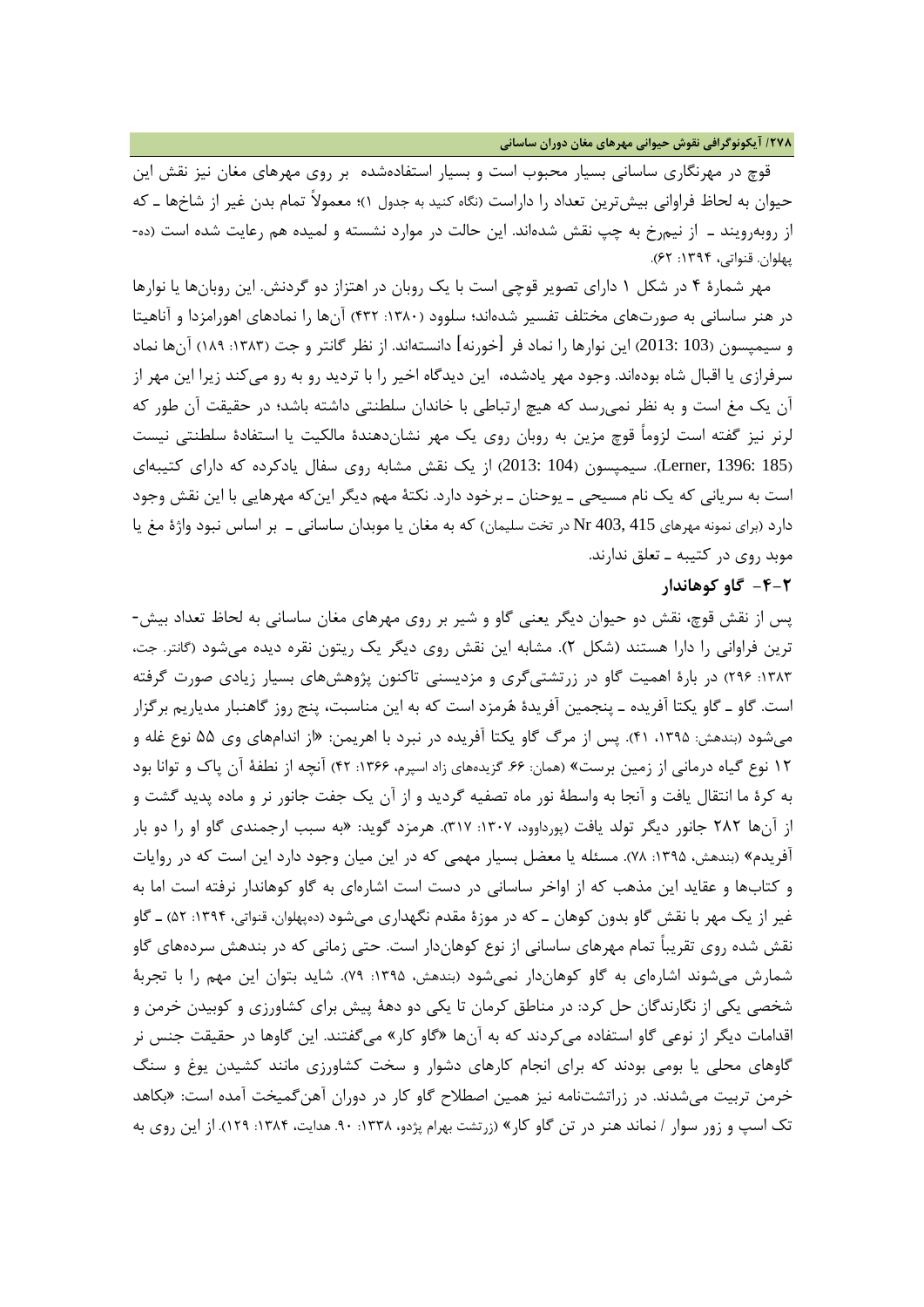**/278 آیکونوگرافی نقوش حیوانی مهرهاي مغان دوران ساسانی**

قوچ در مهرنگاري ساسانی بسیار محبوب است و بسیار استفادهشده بر روي مهرهاي مغان نیز نقش این حیوان به لحاظ فراوانی بیشترین تعداد را داراست (نگاه کنید به جدول 1)؛ معمولاً تمام بدن غیر از شاخها ـ که از روبهرویند ـ از نیمرخ به چپ نقش شدهاند. این حالت در موارد نشسته و لمیده هم رعایت شده است (ده- پهلوان. قنواتی، ۱۳۹۴: ۶۲).

مهر شمارة 4 در شکل 1 داراي تصویر قوچی است با یک روبان در اهتزاز دو گردنش. این روبانها یا نوارها در هنر ساسانی به صورتهاي مختلف تفسیر شدهاند؛ سلوود (:1380 432) آنها را نمادهاي اهورامزدا و آناهیتا و سیمپسون (103 2013:) این نوارها را نماد فر [خورنه] دانستهاند. از نظر گانتر و جت (:1383 189) آنها نماد سرفرازي یا اقبال شاه بودهاند. وجود مهر یادشده، این دیدگاه اخیر را با تردید رو به رو میکند زیرا این مهر از آن یک مغ است و به نظر نمیرسد که هیچ ارتباطی با خاندان سلطنتی داشته باشد؛ در حقیقت آن طور که لرنر نیز گفته است لزوماً قوچ مزین به روبان روي یک مهر نشاندهندة مالکیت یا استفادة سلطنتی نیست (185 1396: ,Lerner(. سیمپسون (104 2013:) از یک نقش مشابه روي سفال یادکرده که داراي کتیبهاي است به سریانی که یک نام مسیحی ـ یوحنان ـ برخود دارد. نکتۀ مهم دیگر اینکه مهرهایی با این نقش وجود دارد (براي نمونه مهرهاي 415 403, Nr در تخت سلیمان) که به مغان یا موبدان ساسانی ـ بر اساس نبود واژة مغ یا موبد روي در کتیبه ـ تعلق ندارند.

### **-4-2 گاو کوهاندار**

پس از نقش قوچ، نقش دو حیوان دیگر یعنی گاو و شیر بر روي مهرهاي مغان ساسانی به لحاظ تعداد بیش- ترین فراوانی را دارا هستند (شکل 2). مشابه این نقش روي دیگر یک ریتون نقره دیده میشود (گانتر. جت، :1383 296) در بارة اهمیت گاو در زرتشتیگري و مزدیسنی تاکنون پژوهشهاي بسیار زیادي صورت گرفته است. گاو ـ گاو یکتا آفریده ـ پنجمین آفریدة هرمزد است که به این مناسبت، پنج روز گاهنبار مدیاریم برگزار میشود (بندهش: ،1395 41). پس از مرگ گاو یکتا آفریده در نبرد با اهریمن: «از اندامهاي وي 55 نوع غله و 12 نوع گیاه درمانی از زمین برست» (همان: .66 گزیدههاي زاد اسپرم، :1366 42) آنچه از نطفۀ آن پاك و توانا بود به کرة ما انتقال یافت و آنجا به واسطۀ نور ماه تصفیه گردید و از آن یک جفت جانور نر و ماده پدید گشت و از آنها 282 جانور دیگر تولد یافت (پورداوود، :1307 317). هرمزد گوید: «به سبب ارجمندي گاو او را دو بار آفریدم» (بندهش، ۱۳۹۵: ۷۸). مسئله یا معضل بسیار مهمی که در این میان وجود دارد این است که در روایات و کتابها و عقاید این مذهب که از اواخر ساسانی در دست است اشارهاي به گاو کوهاندار نرفته است اما به غیر از یک مهر با نقش گاو بدون کوهان ـ که در موزة مقدم نگهداري میشود (دهپهلوان، قنواتی، :1394 52) ـ گاو نقش شده روي تقریباً تمام مهرهاي ساسانی از نوع کوهاندار است. حتی زمانی که در بندهش سردههاي گاو شمارش میشوند اشارهای به گاو کوهاندار نمیشود (بندهش، ۱۳۹۵: ۷۹). شاید بتوان این مهم را با تجربهٔ شخصی یکی از نگارندگان حل کرد: در مناطق کرمان تا یکی دو دهۀ پیش براي کشاورزي و کوبیدن خرمن و اقدامات دیگر از نوعی گاو استفاده میکردند که به آنها «گاو کار» میگفتند. این گاوها در حقیقت جنس نر گاوهاي محلی یا بومی بودند که براي انجام کارهاي دشوار و سخت کشاورزي مانند کشیدن یوغ و سنگ خرمن تربیت میشدند. در زراتشتنامه نیز همین اصطلاح گاو کار در دوران آهنگمیخت آمده است: «بکاهد تک اسپ و زور سوار / نماند هنر در تن گاو کار» (زرتشت بهرام پژدو، :1338 .90 هدایت، :1384 129). از این روي به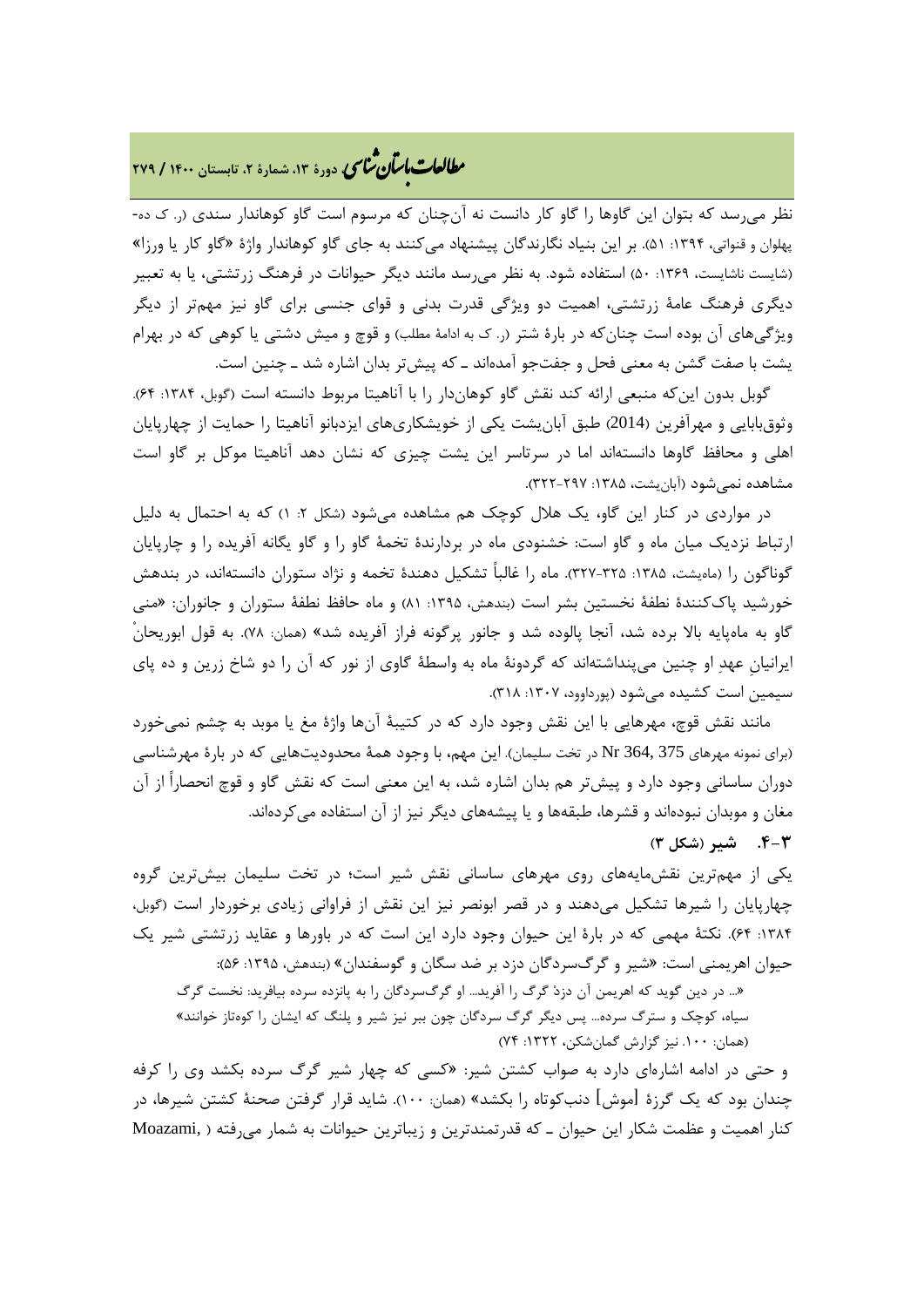# **، دورة ،13 شمارة ،2 تابستان <sup>1400</sup> / <sup>279</sup>** �نا� �طا ی �عات با�تان

نظر میرسد که بتوان این گاوها را گاو کار دانست نه آنچنان که مرسوم است گاو کوهاندار سندي (ر. ك ده- پهلوان و قنواتی، ۱۳۹۴: ۵۱). بر این بنیاد نگارندگان پیشنهاد میکنند به جای گاو کوهاندار واژهٔ «گاو کار یا ورزا» (شایست ناشایست، ۱۳۶۹: ۵۰) استفاده شود. به نظر می رسد مانند دیگر حیوانات در فرهنگ زرتشتی، یا به تعبیر دیگري فرهنگ عامۀ زرتشتی، اهمیت دو ویژگی قدرت بدنی و قواي جنسی براي گاو نیز مهمتر از دیگر ویژگیهاي آن بوده است چنانکه در بارة شتر (ر. ك به ادامۀ مطلب) و قوچ و میش دشتی یا کوهی که در بهرام یشت با صفت گشن به معنی فحل و جفتجو آمدهاند ـ که پیشتر بدان اشاره شد ـ چنین است.

گوبل بدون این که منبعی ارائه کند نقش گاو کوهاندار را با آناهیتا مربوط دانسته است (گوبل، ۱۳۸۴: ۶۴). وثوقبابایی و مهرآفرین (2014) طبق آبانیشت یکی از خویشکاريهاي ایزدبانو آناهیتا را حمایت از چهارپایان اهلی و محافظ گاوها دانستهاند اما در سرتاسر این یشت چیزي که نشان دهد آناهیتا موکل بر گاو است مشاهده نمے شود (آبان یشت، ۱۳۸۵: ۲۲۷۲–۳۲۲).

در مواردي در کنار این گاو، یک هلال کوچک هم مشاهده میشود (شکل :2 1) که به احتمال به دلیل ارتباط نزدیک میان ماه و گاو است: خشنودي ماه در بردارندة تخمۀ گاو را و گاو یگانه آفریده را و چارپایان گوناگون را (ماهیشت، ۱۳۸۵: ۳۲۵-۳۲۷). ماه را غالباً تشکیل دهندهٔ تخمه و نژاد ستوران دانستهاند، در بندهش خورشید پاكکنندة نطفۀ نخستین بشر است (بندهش، :1395 81) و ماه حافظ نطفۀ ستوران و جانوران: «منی گاو به ماهپایه بالا برده شد، آنجا پالوده شد و جانور پرگونه فراز آفریده شد» (همان: 78). به قول ابوریحانْ ایرانیانِ عهد او چنین میپنداشتهاند که گردونۀ ماه به واسطۀ گاوي از نور که آن را دو شاخ زرین و ده پاي سیمین است کشیده میشود (پورداوود، :1307 318).

مانند نقش قوچ، مهرهایی با این نقش وجود دارد که در کتیبۀ آنها واژة مغ یا موبد به چشم نمیخورد (براي نمونه مهرهاي 375 364, Nr در تخت سلیمان). این مهم، با وجود همۀ محدودیتهایی که در بارة مهرشناسی دوران ساسانی وجود دارد و پیشتر هم بدان اشاره شد، به این معنی است که نقش گاو و قوچ انحصاراً از آن مغان و موبدان نبودهاند و قشرها، طبقهها و یا پیشههاي دیگر نیز از آن استفاده میکردهاند. **.4-3 شیر (شکل 3)** 

یکی از مهمترین نقشمایههاي روي مهرهاي ساسانی نقش شیر است؛ در تخت سلیمان بیشترین گروه چهارپایان را شیرها تشکیل میدهند و در قصر ابونصر نیز این نقش از فراوانی زیادي برخوردار است (گوبل، :1384 64). نکتۀ مهمی که در بارة این حیوان وجود دارد این است که در باورها و عقاید زرتشتی شیر یک حیوان اهریمنی است: «شیر و گرگسردگان دزد بر ضد سگان و گوسفندان» (بندهش، :1395 56):

«... در دین گوید که اهریمن آن دزد گرگ را آفرید... او گرگسردگان را به پانزده سرده بیافرید: نخست گرگ

سیاه، کوچک و سترگ سرده... پس دیگر گرگ سردگان چون ببر نیز شیر و پلنگ که ایشان را کوهتاز خوانند» (همان: .100 نیز گزارش گمانشکن، :1322 74)

و حتی در ادامه اشارهاي دارد به صواب کشتن شیر: «کسی که چهار شیر گرگ سرده بکشد وي را کرفه چندان بود که یک گرزة [موش] دنبکوتاه را بکشد» (همان: 100). شاید قرار گرفتن صحنۀ کشتن شیرها، در کنار اهمیت و عظمت شکار این حیوان ـ که قدرتمندترین و زیباترین حیوانات به شمار میرفته ( ,Moazami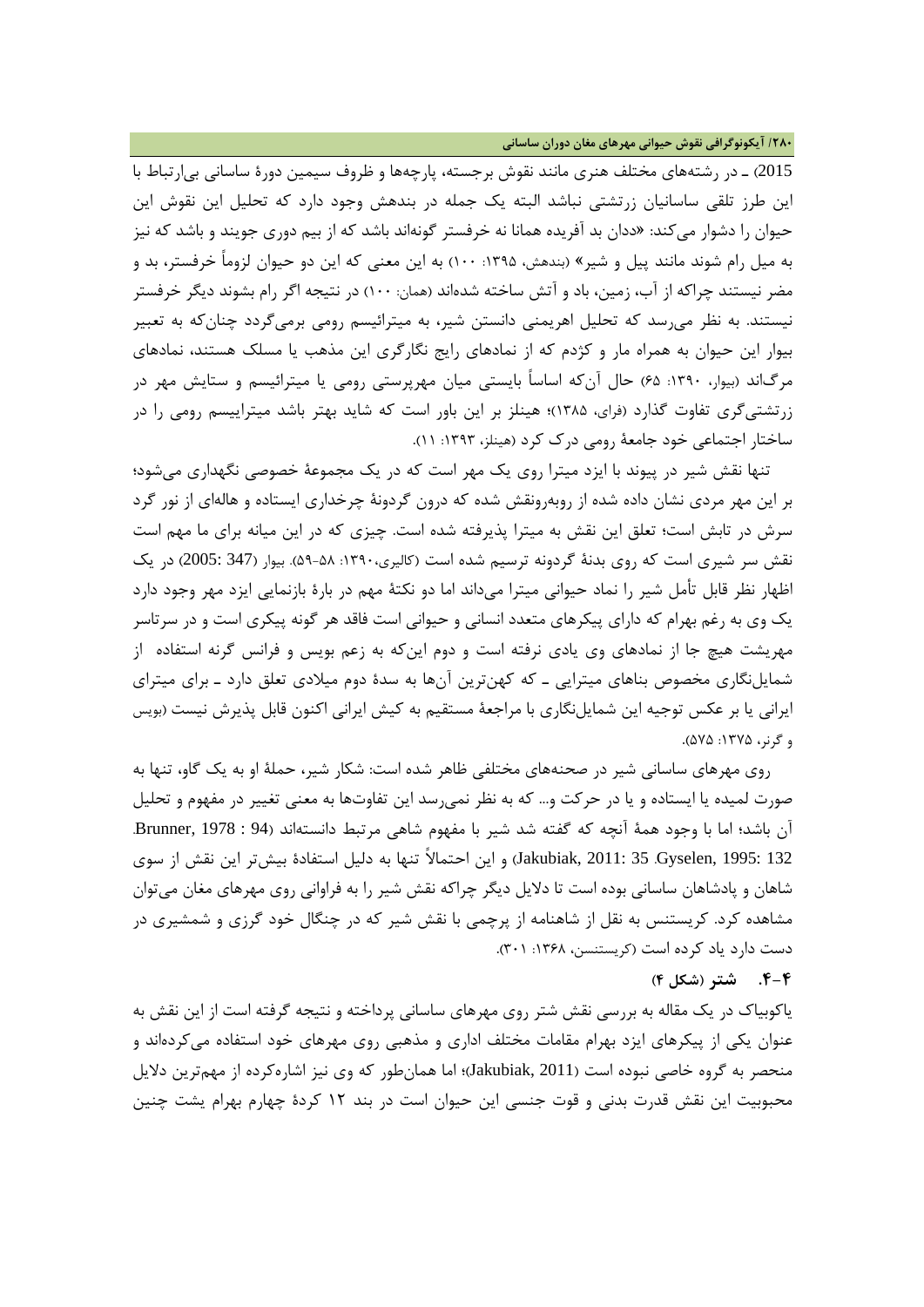**/280 آیکونوگرافی نقوش حیوانی مهرهاي مغان دوران ساسانی**

2015) ـ در رشتههاي مختلف هنري مانند نقوش برجسته، پارچهها و ظروف سیمین دورة ساسانی بیارتباط با این طرز تلقی ساسانیان زرتشتی نباشد البته یک جمله در بندهش وجود دارد که تحلیل این نقوش این حیوان را دشوار میکند: «ددان بد آفریده همانا نه خرفستر گونهاند باشد که از بیم دوري جویند و باشد که نیز به میل رام شوند مانند پیل و شیر» (بندهش، :1395 100) به این معنی که این دو حیوان لزوماً خرفستر، بد و مضر نیستند چراکه از آب، زمین، باد و آتش ساخته شدهاند (همان: 100) در نتیجه اگر رام بشوند دیگر خرفستر نیستند. به نظر میرسد که تحلیل اهریمنی دانستن شیر، به میترائیسم رومی برمیگردد چنانکه به تعبیر بیوار این حیوان به همراه مار و کژدم که از نمادهاي رایج نگارگري این مذهب یا مسلک هستند، نمادهاي مرگاند (بیوار، :1390 65) حال آنکه اساساً بایستی میان مهرپرستی رومی یا میترائیسم و ستایش مهر در زرتشتیگري تفاوت گذارد (فراي، 1385)؛ هینلز بر این باور است که شاید بهتر باشد میتراییسم رومی را در ساختار اجتماعی خود جامعۀ رومی درك کرد (هینلز، :1393 11).

تنها نقش شیر در پیوند با ایزد میترا روي یک مهر است که در یک مجموعۀ خصوصی نگهداري میشود؛ بر این مهر مردي نشان داده شده از روبهرونقش شده که درون گردونۀ چرخداري ایستاده و هالهاي از نور گرد سرش در تابش است؛ تعلق این نقش به میترا پذیرفته شده است. چیزي که در این میانه براي ما مهم است نقش سر شیري است که روي بدنۀ گردونه ترسیم شده است (کالیري:1390، 59-58). بیوار (347 2005:) در یک اظهار نظر قابل تأمل شیر را نماد حیوانی میترا میداند اما دو نکتۀ مهم در بارة بازنمایی ایزد مهر وجود دارد یک وي به رغم بهرام که داراي پیکرهاي متعدد انسانی و حیوانی است فاقد هر گونه پیکري است و در سرتاسر مهریشت هیچ جا از نمادهاي وي یادي نرفته است و دوم اینکه به زعم بویس و فرانس گرنه استفاده از شمایلنگاري مخصوص بناهاي میترایی ـ که کهنترین آنها به سدة دوم میلادي تعلق دارد ـ براي میتراي ایرانی یا بر عکس توجیه این شمایلنگاري با مراجعۀ مستقیم به کیش ایرانی اکنون قابل پذیرش نیست (بویس و گرنر، :1375 575).

روي مهرهاي ساسانی شیر در صحنههاي مختلفی ظاهر شده است: شکار شیر، حملۀ او به یک گاو، تنها به صورت لمیده یا ایستاده و یا در حرکت و... که به نظر نمیرسد این تفاوتها به معنی تغییر در مفهوم و تحلیل آن باشد؛ اما با وجود همۀ آنچه که گفته شد شیر با مفهوم شاهی مرتبط دانستهاند (94 : 1978 ,Brunner. 132 1995: ,Gyselen. 35 2011: ,Jakubiak (و این احتمالاً تنها به دلیل استفادة بیشتر این نقش از سوي شاهان و پادشاهان ساسانی بوده است تا دلایل دیگر چراکه نقش شیر را به فراوانی روي مهرهاي مغان میتوان مشاهده کرد. کریستنس به نقل از شاهنامه از پرچمی با نقش شیر که در چنگال خود گرزي و شمشیري در دست دارد یاد کرده است (کریستنسن، ۱۳۶۸: ۳۰۱).

**.4-4 شتر (شکل 4)**

یاکوبیاك در یک مقاله به بررسی نقش شتر روي مهرهاي ساسانی پرداخته و نتیجه گرفته است از این نقش به عنوان یکی از پیکرهاي ایزد بهرام مقامات مختلف اداري و مذهبی روي مهرهاي خود استفاده میکردهاند و منحصر به گروه خاصی نبوده است (2011 ,Jakubiak(؛ اما همانطور که وي نیز اشارهکرده از مهمترین دلایل محبوبیت این نقش قدرت بدنی و قوت جنسی این حیوان است در بند 12 کردة چهارم بهرام یشت چنین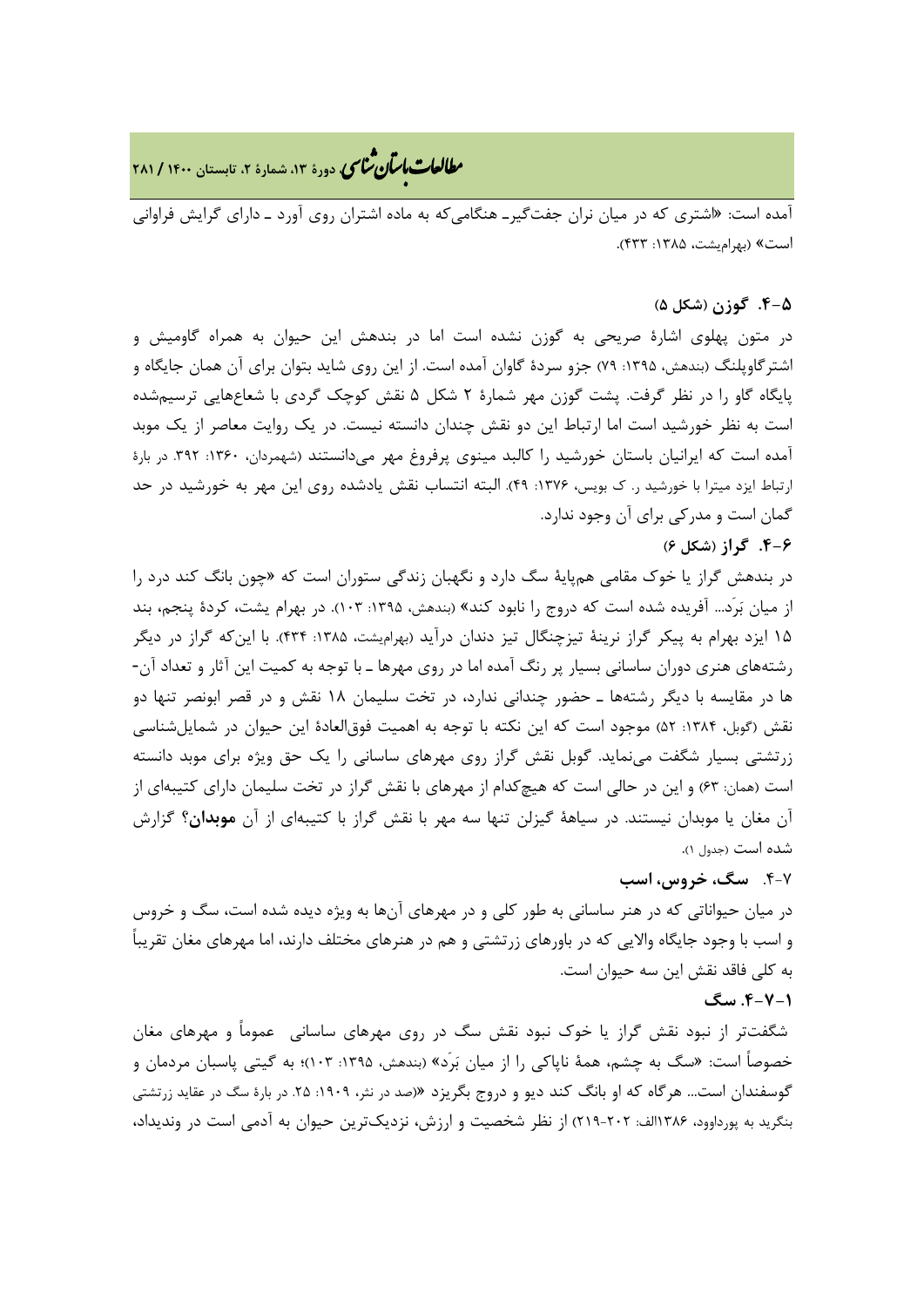**، دورة ،13 شمارة ،2 تابستان <sup>1400</sup> / <sup>281</sup>** �نا� �طا ی �عات با�تان

آمده است: «اشتري که در میان نران جفتگیرـ هنگامیکه به ماده اشتران روي آورد ـ داراي گرایش فراوانی است» (بهرامیشت، ۱۳۸۵: ۴۳۳).

### **.4-5 گوزن (شکل 5)**

در متون پهلوي اشارة صریحی به گوزن نشده است اما در بندهش این حیوان به همراه گاومیش و اشتر گاوپلنگ (بندهش، ۱۳۹۵: ۷۹) جزو سردهٔ گاوان آمده است. از این روی شاید بتوان برای آن همان جایگاه و پایگاه گاو را در نظر گرفت. پشت گوزن مهر شمارة 2 شکل 5 نقش کوچک گردي با شعاعهایی ترسیمشده است به نظر خورشید است اما ارتباط این دو نقش چندان دانسته نیست. در یک روایت معاصر از یک موبد آمده است که ایرانیان باستان خورشید را کالبد مینوي پرفروغ مهر میدانستند (شهمردان، :1360 .392 در بارة ارتباط ایزد میترا با خورشید ر. ک بویس، ١٣٧۶: ٢٩). البته انتساب نقش یادشده روی این مهر به خورشید در حد گمان است و مدرکی براي آن وجود ندارد.

### **.4-6 گراز (شکل 6)**

در بندهش گراز یا خوك مقامی همپایۀ سگ دارد و نگهبان زندگی ستوران است که «چون بانگ کند درد را از میان برَد... آفریده شده است که دروج را نابود کند» (بندهش، :1395 103). در بهرام یشت، کردة پنجم، بند 15 ایزد بهرام به پیکر گراز نرینۀ تیزچنگال تیز دندان درآید (بهرامیشت، :1385 434). با اینکه گراز در دیگر رشتههاي هنري دوران ساسانی بسیار پر رنگ آمده اما در روي مهرها ـ با توجه به کمیت این آثار و تعداد آن- ها در مقایسه با دیگر رشتهها ـ حضور چندانی ندارد، در تخت سلیمان 18 نقش و در قصر ابونصر تنها دو نقش (گوبل، ۱۳۸۴: ۵۲) موجود است که این نکته با توجه به اهمیت فوق|لعادهٔ این حیوان در شمایلشناسی زرتشتی بسیار شگفت مینماید. گوبل نقش گراز روي مهرهاي ساسانی را یک حق ویژه براي موبد دانسته است (همان: 63) و این در حالی است که هیچکدام از مهرهاي با نقش گراز در تخت سلیمان داراي کتیبهاي از آن مغان یا موبدان نیستند. در سیاهۀ گیزلن تنها سه مهر با نقش گراز با کتیبهاي از آن **موبدان؟** گزارش شده است (جدول 1).

## .4-7 **سگ، خروس، اسب**

در میان حیواناتی که در هنر ساسانی به طور کلی و در مهرهاي آنها به ویژه دیده شده است، سگ و خروس و اسب با وجود جایگاه والایی که در باورهاي زرتشتی و هم در هنرهاي مختلف دارند، اما مهرهاي مغان تقریباً به کلی فاقد نقش این سه حیوان است.

### **.4-7-1 سگ**

شگفتتر از نبود نقش گراز یا خوك نبود نقش سگ در روي مهرهاي ساسانی عموماً و مهرهاي مغان خصوصاً است: «سگ به چشم، همۀ ناپاکی را از میان برَد» (بندهش، :1395 103)؛ به گیتی پاسبان مردمان و گوسفندان است... هرگاه که او بانگ کند دیو و دروج بگریزد «(صد در نثر، :1909 .25 در بارة سگ در عقاید زرتشتی بنگرید به پورداوود، 1386الف: 219-202) از نظر شخصیت و ارزش، نزدیکترین حیوان به آدمی است در وندیداد،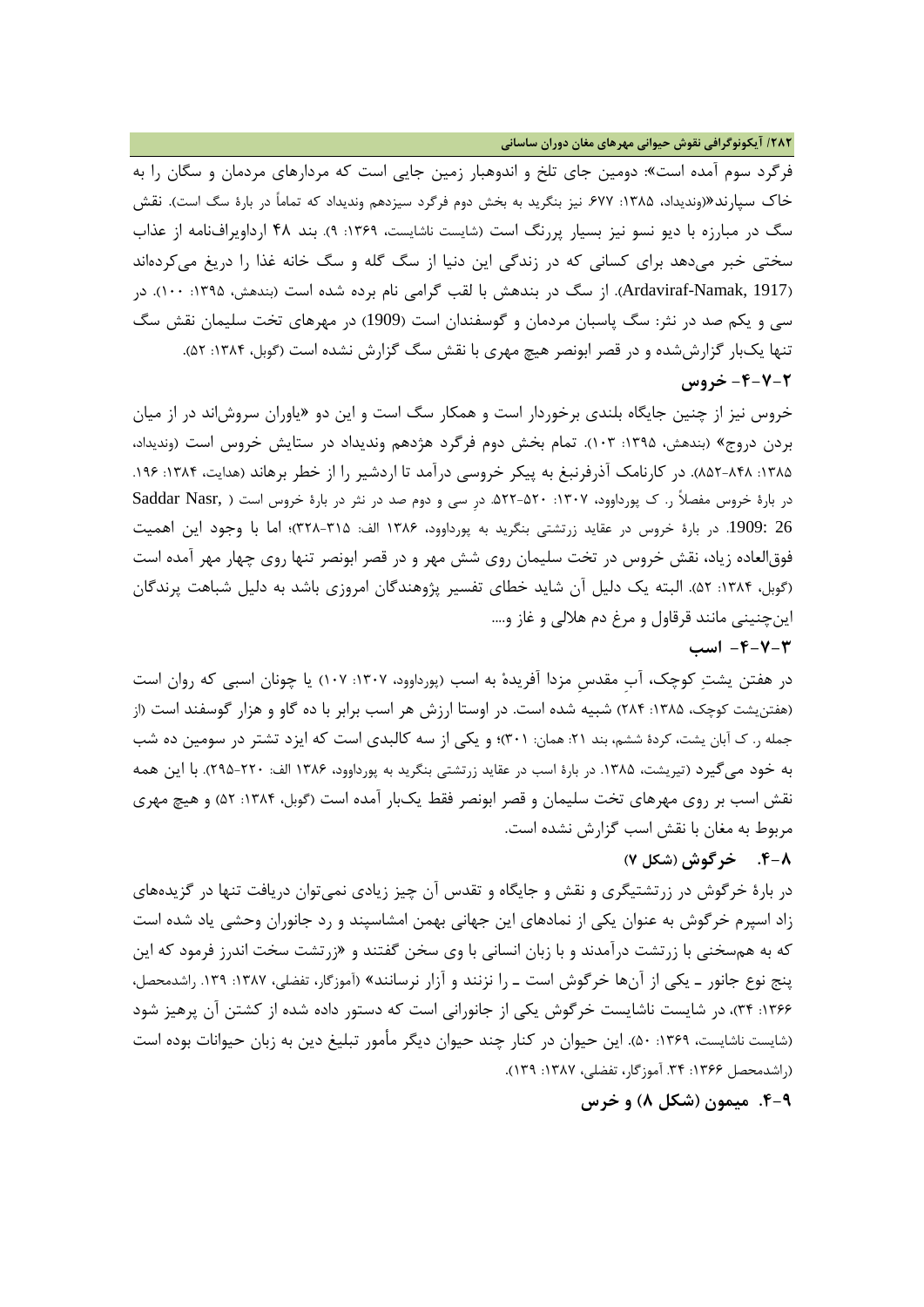**/282 آیکونوگرافی نقوش حیوانی مهرهاي مغان دوران ساسانی**

فرگرد سوم آمده است»: دومین جاي تلخ و اندوهبار زمین جایی است که مردارهاي مردمان و سگان را به خاك سپارند«(وندیداد، :1385 .677 نیز بنگرید به بخش دوم فرگرد سیزدهم وندیداد که تماماً در بارة سگ است). نقش سگ در مبارزه با دیو نسو نیز بسیار پررنگ است (شایست ناشایست، :1369 9). بند 48 ارداویرافنامه از عذاب سختی خبر میدهد براي کسانی که در زندگی این دنیا از سگ گله و سگ خانه غذا را دریغ میکردهاند (1917 Ardaviraf-Namak, 1). از سگ در بندهش با لقب گرامی نام برده شده است (بندهش، ۱۳۹۵: ۱۰۰). در سی و یکم صد در نثر: سگ پاسبان مردمان و گوسفندان است (1909) در مهرهاي تخت سلیمان نقش سگ تنها یکبار گزارششده و در قصر ابونصر هیچ مهري با نقش سگ گزارش نشده است (گوبل، :1384 52). **-4-7-2 خروس**

خروس نیز از چنین جایگاه بلندي برخوردار است و همکار سگ است و این دو «یاوران سروشاند در از میان بردن دروج» (بندهش، :1395 103). تمام بخش دوم فرگرد هژدهم وندیداد در ستایش خروس است (وندیداد، ۱۳۸۵: ۸۴۸-۸۵۲). در کارنامک آذرفرنبغ به پیکر خروسی درآمد تا اردشیر را از خطر برهاند (هدایت، ۱۳۸۴: ۱۹۶. در بارة خروس مفصلاً ر. ك پورداوود، :1307 .522-520 درِ سی و دوم صد در نثر در بارة خروس است ( ,Nasr Saddar 26 .1909: در بارة خروس در عقاید زرتشتی بنگرید به پورداوود، 1386 الف: 328-315)؛ اما با وجود این اهمیت فوقالعاده زیاد، نقش خروس در تخت سلیمان روي شش مهر و در قصر ابونصر تنها روي چهار مهر آمده است (گوبل، :1384 52). البته یک دلیل آن شاید خطاي تفسیر پژوهندگان امروزي باشد به دلیل شباهت پرندگان اینچنینی مانند قرقاول و مرغ دم هلالی و غاز و....

**-4-7-3 اسب**

در هفتن یشت کوچک، آبِ مقدسِ مزدا آفریده به اسب (پورداوود، :1307 107) یا چونان اسبی که روان است (هفتن شت کوچک، ۱۳۸۵: ۲۸۴) شبیه شده است. در اوستا ارزش هر اسب برابر با ده گاو و هزار گوسفند است (از جمله ر. ک آبان یشت، کردهٔ ششم، بند ٢١: همان: ٣٠١)؛ و یکی از سه کالبدی است که ایزد تشتر در سومین ده شب به خود میگیرد (تیریشت، .1385 در بارة اسب در عقاید زرتشتی بنگرید به پورداوود، 1386 الف: 295-220). با این همه نقش اسب بر روي مهرهاي تخت سلیمان و قصر ابونصر فقط یکبار آمده است (گوبل، :1384 52) و هیچ مهري مربوط به مغان با نقش اسب گزارش نشده است.

### **.4-8 خرگوش (شکل 7)**

در بارة خرگوش در زرتشتیگري و نقش و جایگاه و تقدس آن چیز زیادي نمیتوان دریافت تنها در گزیدههاي زاد اسپرم خرگوش به عنوان یکی از نمادهاي این جهانی بهمن امشاسپند و رد جانوران وحشی یاد شده است که به همسخنی با زرتشت درآمدند و با زبان انسانی با وي سخن گفتند و «زرتشت سخت اندرز فرمود که این پنج نوع جانور ـ یکی از آنها خرگوش است ـ را نزنند و آزار نرسانند» (آموزگار، تفضلی، :1387 .139 راشدمحصل، :1366 34)، در شایست ناشایست خرگوش یکی از جانورانی است که دستور داده شده از کشتن آن پرهیز شود (شایست ناشایست، ۱۳۶۹: ۵۰). این حیوان در کنار چند حیوان دیگر مأمور تبلیغ دین به زبان حیوانات بوده است (راشدمحصل ۱۳۶۶: ۳۴. آموزگار، تفضلی، ۱۳۸۷: ۱۳۹).

**.4-9 میمون (شکل 8) و خرس**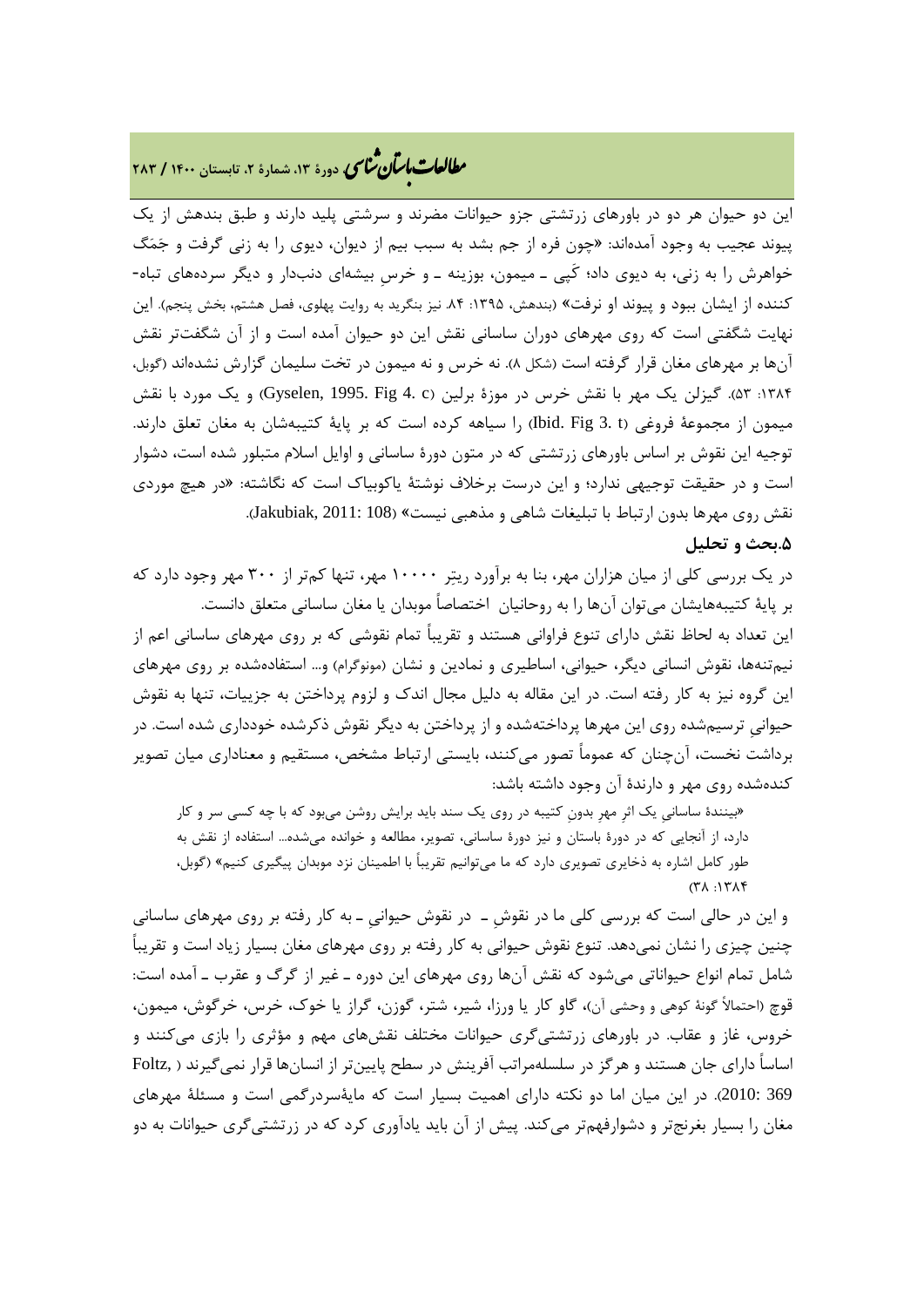# **، دورة ،13 شمارة ،2 تابستان <sup>1400</sup> / <sup>283</sup>** �نا� �طا ی �عات با�تان

این دو حیوان هر دو در باورهاي زرتشتی جزو حیوانات مضرند و سرشتی پلید دارند و طبق بندهش از یک پیوند عجیب به وجود آمدهاند: «چون فره از جم بشد به سبب بیم از دیوان، دیوي را به زنی گرفت و جمگ خواهرش را به زنی، به دیوي داد؛ کَپی ـ میمون، بوزینه ـ و خرسِ بیشهاي دنبدار و دیگر سردههاي تباه- کننده از ایشان ببود و پیوند او نرفت» (بندهش، ۱۳۹۵: ۸۴ نیز بنگرید به روایت پهلوی، فصل هشتم، بخش پنجم). این نهایت شگفتی است که روي مهرهاي دوران ساسانی نقش این دو حیوان آمده است و از آن شگفتتر نقش آنها بر مهرهاي مغان قرار گرفته است (شکل 8). نه خرس و نه میمون در تخت سلیمان گزارش نشدهاند (گوبل، :1384 53). گیزلن یک مهر با نقش خرس در موزة برلین (c 4. Fig 1995. ,Gyselen (و یک مورد با نقش میمون از مجموعۀ فروغی (t 3. Fig .Ibid (را سیاهه کرده است که بر پایۀ کتیبهشان به مغان تعلق دارند. توجیه این نقوش بر اساس باورهاي زرتشتی که در متون دورة ساسانی و اوایل اسلام متبلور شده است، دشوار است و در حقیقت توجیهی ندارد؛ و این درست برخلاف نوشتۀ یاکوبیاك است که نگاشته: «در هیچ موردي نقش روي مهرها بدون ارتباط با تبلیغات شاهی و مذهبی نیست» (108 2011: ,Jakubiak(. **.5بحث و تحلیل**

در یک بررسی کلی از میان هزاران مهر، بنا به برآورد ریتر 10000 مهر، تنها کمتر از 300 مهر وجود دارد که بر پایۀ کتیبههایشان میتوان آنها را به روحانیان اختصاصاً موبدان یا مغان ساسانی متعلق دانست. این تعداد به لحاظ نقش داراي تنوع فراوانی هستند و تقریباً تمام نقوشی که بر روي مهرهاي ساسانی اعم از نیمتنهها، نقوش انسانی دیگر، حیوانی، اساطیري و نمادین و نشان (مونوگرام) و... استفادهشده بر روي مهرهاي این گروه نیز به کار رفته است. در این مقاله به دلیل مجال اندك و لزوم پرداختن به جزییات، تنها به نقوش حیوانیِ ترسیمشده روي این مهرها پرداختهشده و از پرداختن به دیگر نقوش ذکرشده خودداري شده است. در برداشت نخست، آنچنان که عموماً تصور میکنند، بایستی ارتباط مشخص، مستقیم و معناداري میان تصویر کندهشده روي مهر و دارندة آن وجود داشته باشد:

«بینندة ساسانیِ یک اثرِ مهرِ بدونِ کتیبه در روي یک سند باید برایش روشن میبود که با چه کسی سر و کار دارد، از آنجایی که در دورة باستان و نیز دورة ساسانی، تصویر، مطالعه و خوانده میشده... استفاده از نقش به طور کامل اشاره به ذخایري تصویري دارد که ما میتوانیم تقریباً با اطمینان نزد موبدان پیگیري کنیم» (گوبل،  $(T\lambda \cdot 1T\lambda)$ 

و این در حالی است که بررسی کلی ما در نقوشِ ـ در نقوش حیوانیِ ـ به کار رفته بر روي مهرهاي ساسانی چنین چیزی را نشان نمی،دهد. تنوع نقوش حیوانی به کار رفته بر روی مهرهای مغان بسیار زیاد است و تقریباً شامل تمام انواع حیواناتی میشود که نقش آنها روي مهرهاي این دوره ـ غیر از گرگ و عقرب ـ آمده است: قوچ (احتمالاً گونۀ کوهی و وحشی آن)، گاو کار یا ورزا، شیر، شتر، گوزن، گراز یا خوك، خرس، خرگوش، میمون، خروس، غاز و عقاب. در باورهاي زرتشتیگري حیوانات مختلف نقشهاي مهم و مؤثري را بازي میکنند و اساساً داراي جان هستند و هرگز در سلسلهمراتب آفرینش در سطح پایینتر از انسانها قرار نمیگیرند ( ,Foltz 369 2010:). در این میان اما دو نکته داراي اهمیت بسیار است که مایۀسردرگمی است و مسئلۀ مهرهاي مغان را بسیار بغرنجتر و دشوارفهمتر میکند. پیش از آن باید یادآوري کرد که در زرتشتیگري حیوانات به دو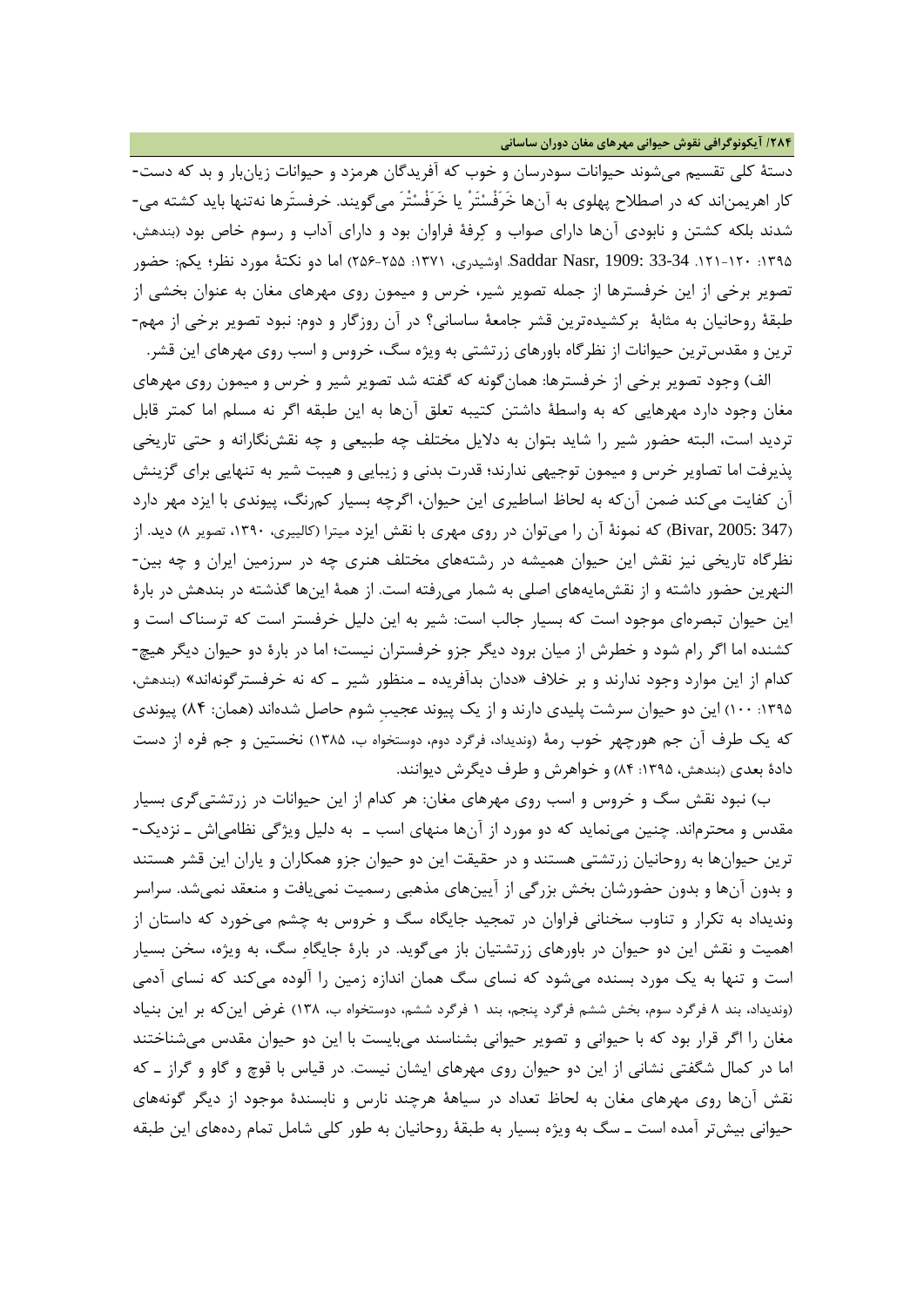**/284 آیکونوگرافی نقوش حیوانی مهرهاي مغان دوران ساسانی**

دستۀ کلی تقسیم میشوند حیوانات سودرسان و خوب که آفریدگان هرمزد و حیوانات زیانبار و بد که دست- کار اهریمناند که در اصطلاح پهلوي به آنها خَرَفْستَرْ یا خَرَفْستْرَ میگویند. خرفستَرها نهتنها باید کشته می- شدند بلکه کشتن و نابودي آنها داراي صواب و کرفۀ فراوان بود و داراي آداب و رسوم خاص بود (بندهش، :1395 .121-120 33-34 1909: ,Nasr Saddar. اوشیدري، :1371 256-255) اما دو نکتۀ مورد نظر؛ یکم: حضور تصویر برخی از این خرفسترها از جمله تصویر شیر، خرس و میمون روي مهرهاي مغان به عنوان بخشی از طبقۀ روحانیان به مثابۀ برکشیدهترین قشر جامعۀ ساسانی؟ در آن روزگار و دوم: نبود تصویر برخی از مهم- ترین و مقدسترین حیوانات از نظرگاه باورهاي زرتشتی به ویژه سگ، خروس و اسب روي مهرهاي این قشر.

الف) وجود تصویر برخی از خرفسترها: همانگونه که گفته شد تصویر شیر و خرس و میمون روي مهرهاي مغان وجود دارد مهرهایی که به واسطۀ داشتن کتیبه تعلق آنها به این طبقه اگر نه مسلم اما کمتر قابل تردید است، البته حضور شیر را شاید بتوان به دلایل مختلف چه طبیعی و چه نقشنگارانه و حتی تاریخی پذیرفت اما تصاویر خرس و میمون توجیهی ندارند؛ قدرت بدنی و زیبایی و هیبت شیر به تنهایی براي گزینش آن کفایت میکند ضمن آنکه به لحاظ اساطیري این حیوان، اگرچه بسیار کمرنگ، پیوندي با ایزد مهر دارد (347 2005: ,Bivar (که نمونۀ آن را میتوان در روي مهري با نقش ایزد میترا (کالییري، ،1390 تصویر 8) دید. از نظرگاه تاریخی نیز نقش این حیوان همیشه در رشتههاي مختلف هنري چه در سرزمین ایران و چه بین- النهرین حضور داشته و از نقشمایههاي اصلی به شمار میرفته است. از همۀ اینها گذشته در بندهش در بارة این حیوان تبصرهاي موجود است که بسیار جالب است: شیر به این دلیل خرفستر است که ترسناك است و کشنده اما اگر رام شود و خطرش از میان برود دیگر جزو خرفستران نیست؛ اما در بارة دو حیوان دیگر هیچ- کدام از این موارد وجود ندارند و بر خلاف «ددان بدآفریده ـ منظور شیر ـ که نه خرفسترگونهاند» (بندهش، :1395 100) این دو حیوان سرشت پلیدي دارند و از یک پیوند عجیبِ شوم حاصل شدهاند (همان: 84) پیوندي که یک طرف آن جم هورچهر خوب رمۀ (وندیداد، فرگرد دوم، دوستخواه ب، 1385) نخستین و جم فره از دست دادهٔ بعدی (بندهش، ۱۳۹۵: ۸۴) و خواهرش و طرف دیگرش دیوانند.

ب) نبود نقش سگ و خروس و اسب روي مهرهاي مغان: هر کدام از این حیوانات در زرتشتیگري بسیار مقدس و محترماند. چنین مینماید که دو مورد از آنها منهاي اسب ـ به دلیل ویژگی نظامیاش ـ نزدیک- ترین حیوانها به روحانیان زرتشتی هستند و در حقیقت این دو حیوان جزو همکاران و یاران این قشر هستند و بدون آنها و بدون حضورشان بخش بزرگی از آیینهاي مذهبی رسمیت نمییافت و منعقد نمیشد. سراسر وندیداد به تکرار و تناوب سخنانی فراوان در تمجید جایگاه سگ و خروس به چشم میخورد که داستان از اهمیت و نقش این دو حیوان در باورهاي زرتشتیان باز میگوید. در بارة جایگاه سگ، به ویژه، سخن بسیار است و تنها به یک مورد بسنده میشود که نساي سگ همان اندازه زمین را آلوده میکند که نساي آدمی (وندیداد، بند 8 فرگرد سوم، بخش ششم فرگرد پنجم، بند 1 فرگرد ششم، دوستخواه ب، 138) غرض اینکه بر این بنیاد مغان را اگر قرار بود که با حیوانی و تصویر حیوانی بشناسند میبایست با این دو حیوان مقدس میشناختند اما در کمال شگفتی نشانی از این دو حیوان روي مهرهاي ایشان نیست. در قیاس با قوچ و گاو و گراز ـ که نقش آنها روي مهرهاي مغان به لحاظ تعداد در سیاهۀ هرچند نارس و نابسندة موجود از دیگر گونههاي حیوانی بیشتر آمده است ـ سگ به ویژه بسیار به طبقۀ روحانیان به طور کلی شامل تمام ردههاي این طبقه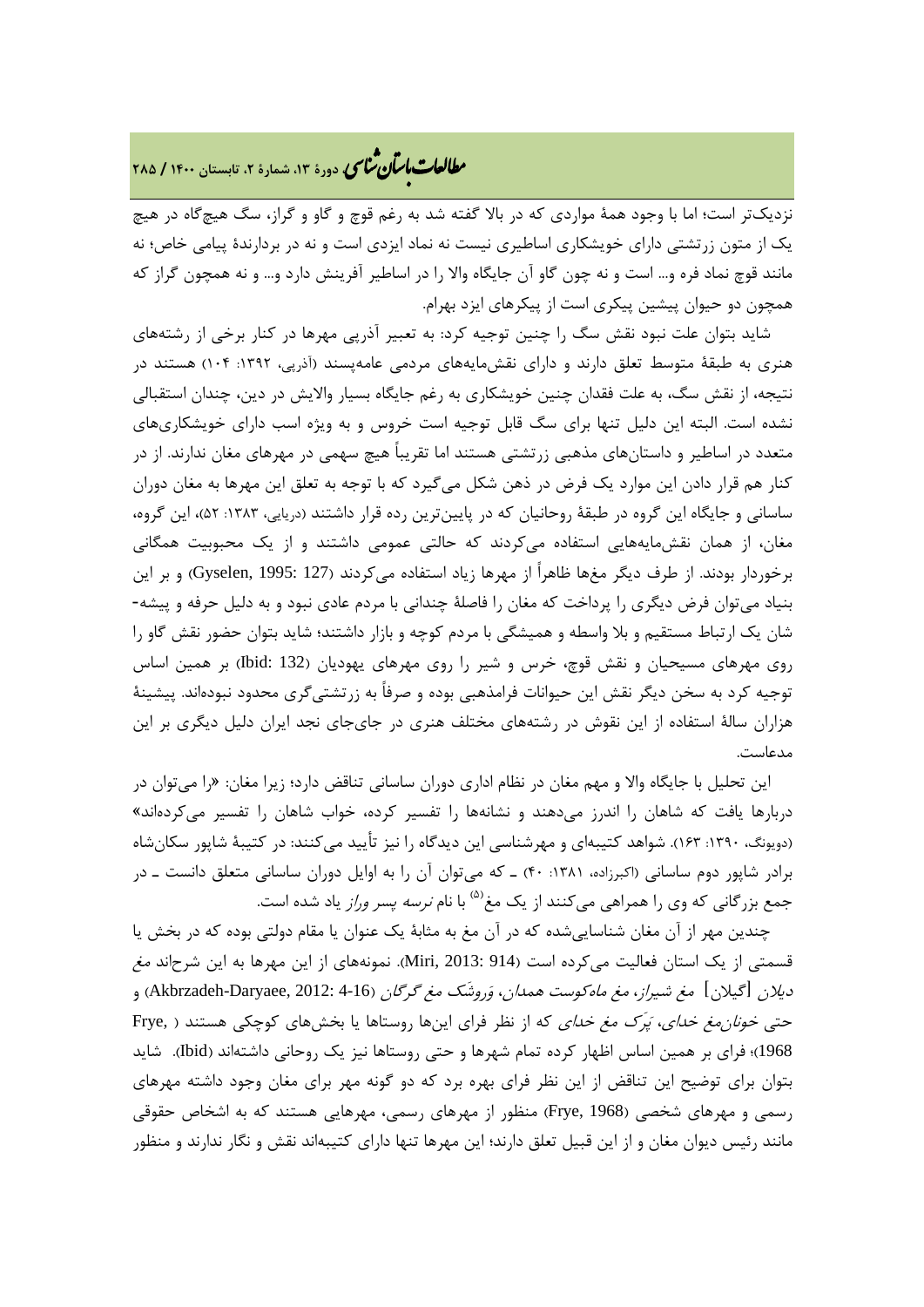# **، دورة ،13 شمارة ،2 تابستان <sup>1400</sup> / <sup>285</sup>** �نا� �طا ی �عات با�تان

نزدیکتر است؛ اما با وجود همۀ مواردي که در بالا گفته شد به رغم قوچ و گاو و گراز، سگ هیچگاه در هیچ یک از متون زرتشتی داراي خویشکاري اساطیري نیست نه نماد ایزدي است و نه در بردارندة پیامی خاص؛ نه مانند قوچ نماد فره و... است و نه چون گاو آن جایگاه والا را در اساطیر آفرینش دارد و... و نه همچون گراز که همچون دو حیوان پیشین پیکري است از پیکرهاي ایزد بهرام.

شاید بتوان علت نبود نقش سگ را چنین توجیه کرد: به تعبیر آذرپی مهرها در کنار برخی از رشتههاي هنري به طبقۀ متوسط تعلق دارند و داراي نقشمایههاي مردمی عامهپسند (آذرپی، :1392 104) هستند در نتیجه، از نقش سگ، به علت فقدان چنین خویشکاري به رغم جایگاه بسیار والایش در دین، چندان استقبالی نشده است. البته این دلیل تنها براي سگ قابل توجیه است خروس و به ویژه اسب داراي خویشکاريهاي متعدد در اساطیر و داستانهاي مذهبی زرتشتی هستند اما تقریباً هیچ سهمی در مهرهاي مغان ندارند. از در کنار هم قرار دادن این موارد یک فرض در ذهن شکل میگیرد که با توجه به تعلق این مهرها به مغان دوران ساسانی و جایگاه این گروه در طبقۀ روحانیان که در پایینترین رده قرار داشتند (دریایی، :1383 52)، این گروه، مغان، از همان نقشمایههایی استفاده میکردند که حالتی عمومی داشتند و از یک محبوبیت همگانی برخوردار بودند. از طرف دیگر مغها ظاهراً از مهرها زیاد استفاده میکردند (127 1995: ,Gyselen (و بر این بنیاد میتوان فرض دیگري را پرداخت که مغان را فاصلۀ چندانی با مردم عادي نبود و به دلیل حرفه و پیشه- شان یک ارتباط مستقیم و بلا واسطه و همیشگی با مردم کوچه و بازار داشتند؛ شاید بتوان حضور نقش گاو را روي مهرهاي مسیحیان و نقش قوچ، خرس و شیر را روي مهرهاي یهودیان (132 :Ibid (بر همین اساس توجیه کرد به سخن دیگر نقش این حیوانات فرامذهبی بوده و صرفاً به زرتشتیگري محدود نبودهاند. پیشینۀ هزاران سالۀ استفاده از این نقوش در رشتههاي مختلف هنري در جايجاي نجد ایران دلیل دیگري بر این مدعاست.

این تحلیل با جایگاه والا و مهم مغان در نظام اداري دوران ساسانی تناقض دارد؛ زیرا مغان: «را میتوان در دربارها یافت که شاهان را اندرز میدهند و نشانهها را تفسیر کرده، خواب شاهان را تفسیر میکردهاند» (دویونگ، :1390 163). شواهد کتیبهاي و مهرشناسی این دیدگاه را نیز تأیید میکنند: در کتیبۀ شاپور سکانشاه برادر شاپور دوم ساسانی (اکبرزاده، :1381 40) ـ که میتوان آن را به اوایل دوران ساسانی متعلق دانست ـ در جمع بزرگانی که وی را همراهی میکنند از یک مغ<sup>(۵)</sup> با نام *نرسه پسر وراز* یاد شده است.

چندین مهر از آن مغان شناساییشده که در آن مغ به مثابۀ یک عنوان یا مقام دولتی بوده که در بخش یا قسمتی از یک استان فعالیت میکرده است (914 :Miri, 2013). نمونههای از این مهرها به این شرحاند *مغ* دیلان [گیلان] مغ شیراز، مغ ماهکوست همدان، وَروشَک مغ گرگان (4-16 :Akbrzadeh-Daryaee, 2012) و حتی *خونان مغ خدای، پَرَک مغ خدای* که از نظر فرای اینها روستاها یا بخشهای کوچکی هستند ( ,Frye 1968)؛ فراي بر همین اساس اظهار کرده تمام شهرها و حتی روستاها نیز یک روحانی داشتهاند (Ibid(. شاید بتوان براي توضیح این تناقض از این نظر فراي بهره برد که دو گونه مهر براي مغان وجود داشته مهرهاي رسمی و مهرهاي شخصی (1968 ,Frye (منظور از مهرهاي رسمی، مهرهایی هستند که به اشخاص حقوقی مانند رئیس دیوان مغان و از این قبیل تعلق دارند؛ این مهرها تنها داراي کتیبهاند نقش و نگار ندارند و منظور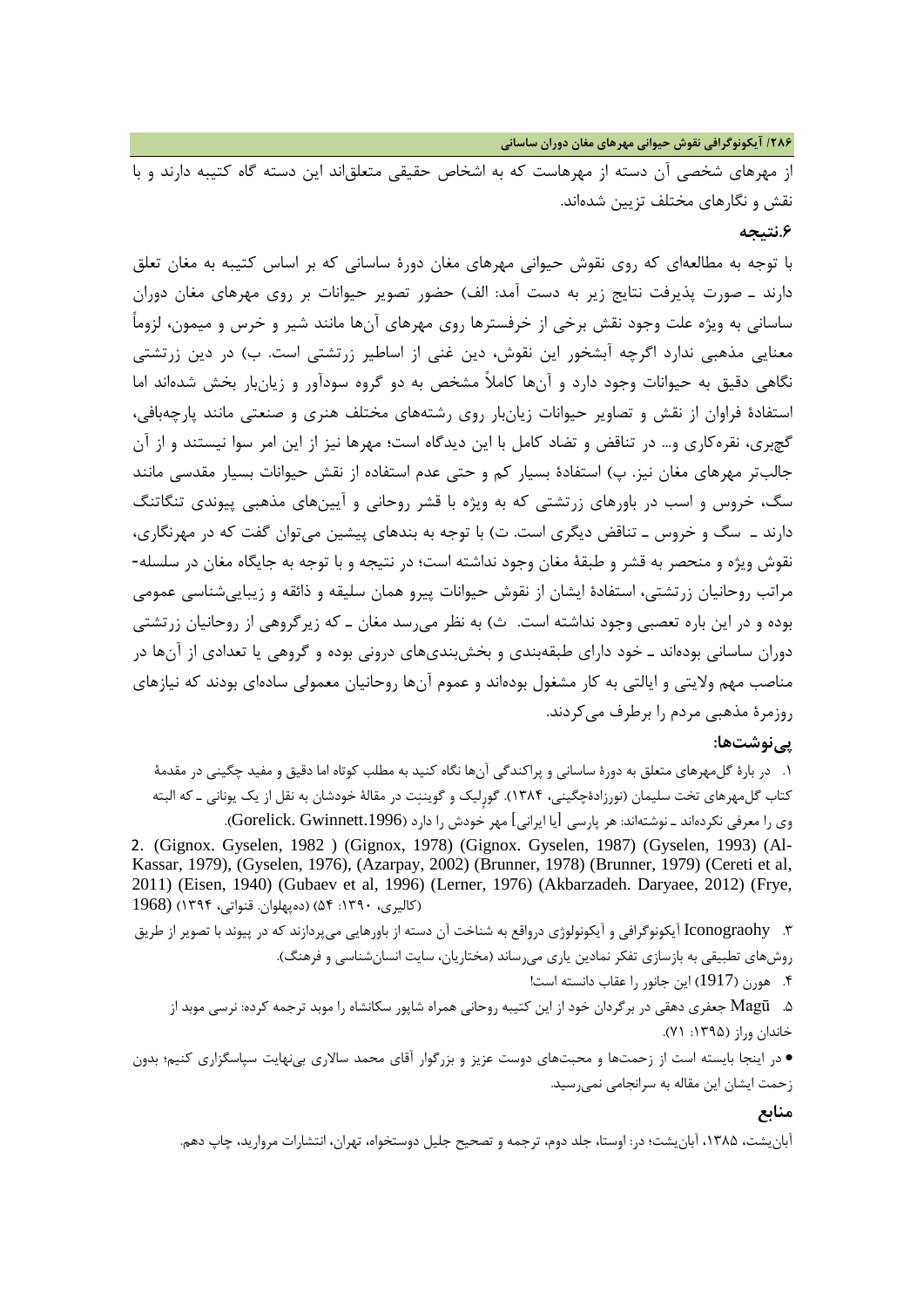**/286 آیکونوگرافی نقوش حیوانی مهرهاي مغان دوران ساسانی**

از مهرهاي شخصی آن دسته از مهرهاست که به اشخاص حقیقی متعلقاند این دسته گاه کتیبه دارند و با نقش و نگارهاي مختلف تزیین شدهاند.

#### **.6نتیجه**

با توجه به مطالعهاي که روي نقوش حیوانی مهرهاي مغان دورة ساسانی که بر اساس کتیبه به مغان تعلق دارند ـ صورت پذیرفت نتایج زیر به دست آمد: الف) حضور تصویر حیوانات بر روي مهرهاي مغان دوران ساسانی به ویژه علت وجود نقش برخی از خرفسترها روي مهرهاي آنها مانند شیر و خرس و میمون، لزوماً معنایی مذهبی ندارد اگرچه آبشخور این نقوش، دین غنی از اساطیر زرتشتی است. ب) در دین زرتشتی نگاهی دقیق به حیوانات وجود دارد و آنها کاملاً مشخص به دو گروه سودآور و زیانبار بخش شدهاند اما استفادة فراوان از نقش و تصاویر حیوانات زیانبار روي رشتههاي مختلف هنري و صنعتی مانند پارچهبافی، گچبري، نقرهکاري و... در تناقض و تضاد کامل با این دیدگاه است؛ مهرها نیز از این امر سوا نیستند و از آن جالبتر مهرهاي مغان نیز. پ) استفادة بسیار کم و حتی عدم استفاده از نقش حیوانات بسیار مقدسی مانند سگ، خروس و اسب در باورهاي زرتشتی که به ویژه با قشر روحانی و آیینهاي مذهبی پیوندي تنگاتنگ دارند ـ سگ و خروس ـ تناقض دیگري است. ت) با توجه به بندهاي پیشین میتوان گفت که در مهرنگاري، نقوش ویژه و منحصر به قشر و طبقۀ مغان وجود نداشته است؛ در نتیجه و با توجه به جایگاه مغان در سلسله- مراتب روحانیان زرتشتی، استفادة ایشان از نقوش حیوانات پیرو همان سلیقه و ذائقه و زیباییشناسی عمومی بوده و در این باره تعصبی وجود نداشته است. ث) به نظر میرسد مغان ـ که زیرگروهی از روحانیان زرتشتی دوران ساسانی بودهاند ـ خود داراي طبقهبندي و بخشبنديهاي درونی بوده و گروهی یا تعدادي از آنها در مناصب مهم ولایتی و ایالتی به کار مشغول بودهاند و عموم آنها روحانیان معمولی سادهاي بودند که نیازهاي روزمرة مذهبی مردم را برطرف میکردند.

### **پینوشتها:**

.1 در بارة گلمهرهاي متعلق به دورة ساسانی و پراکندگی آنها نگاه کنید به مطلب کوتاه اما دقیق و مفید چگینی در مقدمۀ کتاب گلمهرهاي تخت سلیمان (نورزادةچگینی، 1384). گورٍلیک و گویننت در مقالۀ خودشان به نقل از یک یونانی ـ که البته وی را معرفی نکردهاند ـ نوشتهاند: هر پارسی [یا ایرانی] مهر خودش را دارد (Gorelick. Gwinnett.1996). 2. (Gignox. Gyselen, 1982 ) (Gignox, 1978) (Gignox. Gyselen, 1987) (Gyselen, 1993) (Al-Kassar, 1979), (Gyselen, 1976), (Azarpay, 2002) (Brunner, 1978) (Brunner, 1979) (Cereti et al, 2011) (Eisen, 1940) (Gubaev et al, 1996) (Lerner, 1976) (Akbarzadeh. Daryaee, 2012) (Frye, (کالیري، :1390 54) (دهپهلوان. قنواتی، 1394) (1968

.3 Iconograohy آیکونوگرافی و آیکونولوژي درواقع به شناخت آن دسته از باورهایی میپردازند که در پیوند با تصویر از طریق روشهاي تطبیقی به بازسازي تفکر نمادین یاري میرساند (مختاریان، سایت انسانشناسی و فرهنگ).

.4 هورن (1917) این جانور را عقاب دانسته است!

.5 Magū جعفري دهقی در برگردان خود از این کتیبه روحانی همراه شاپور سکانشاه را موبد ترجمه کرده: نرسی موبد از خاندان وراز (۱۳۹۵: ۷۱).

• در اینجا بایسته است از زحمتها و محبتهاي دوست عزیز و بزرگوار آقاي محمد سالاري بینهایت سپاسگزاري کنیم؛ بدون زحمت ایشان این مقاله به سرانجامی نمیرسید.

#### **منابع**

آبانیشت، ،1385 آبانیشت؛ در: اوستا، جلد دوم، ترجمه و تصحیح جلیل دوستخواه، تهران، انتشارات مروارید، چاپ دهم.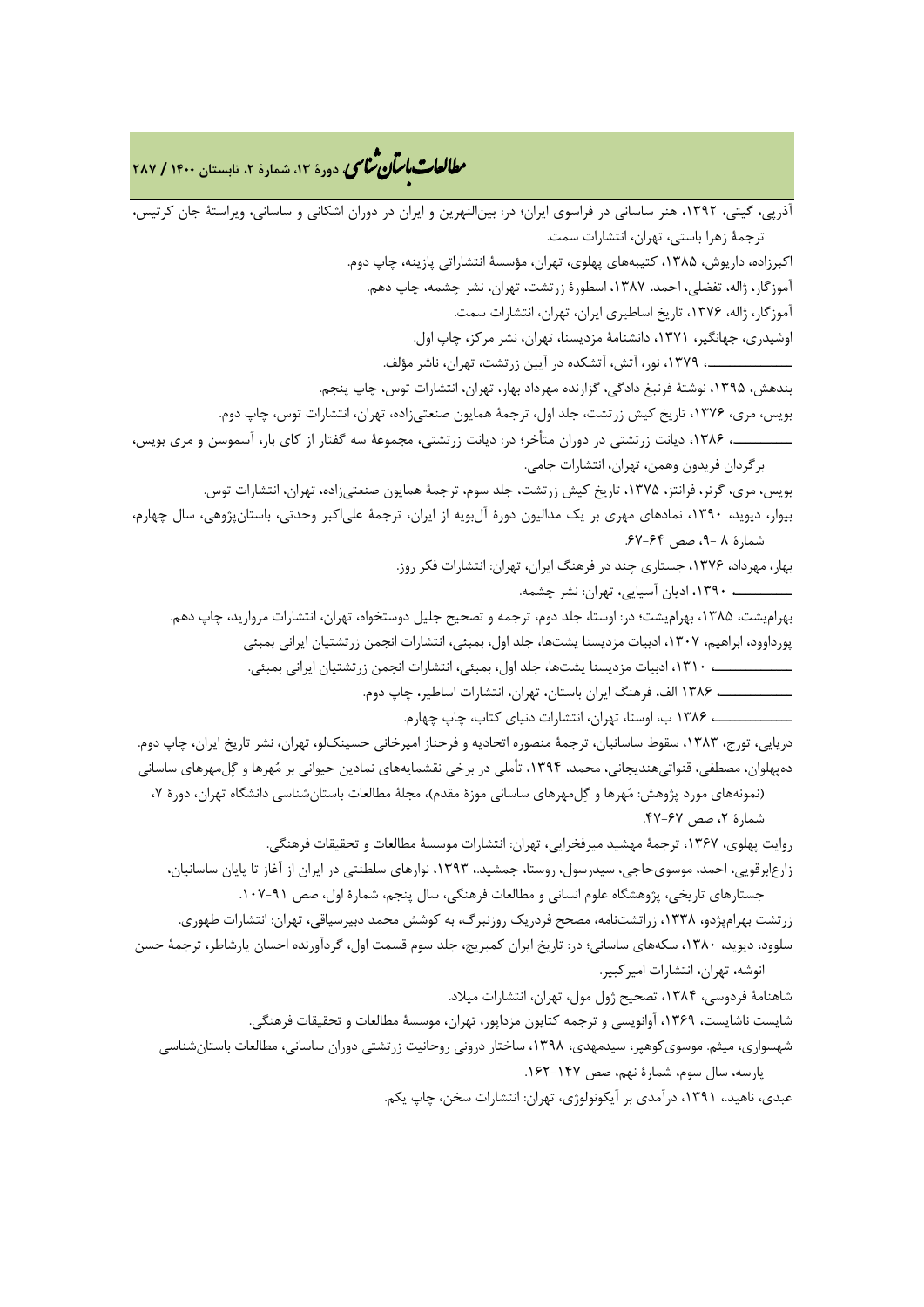# **، دورة ،13 شمارة ،2 تابستان <sup>1400</sup> / <sup>287</sup>** �نا� �طا ی �عات با�تان

آذرپی، گیتی، ،1392 هنر ساسانی در فراسوي ایران؛ در: بینالنهرین و ایران در دوران اشکانی و ساسانی، ویراستۀ جان کرتیس، ترجمۀ زهرا باستی، تهران، انتشارات سمت. اکبرزاده، داریوش، ،1385 کتیبههاي پهلوي، تهران، مؤسسۀ انتشاراتی پازینه، چاپ دوم. آموزگار، ژاله، تفضلی، احمد، ،1387 اسطورة زرتشت، تهران، نشر چشمه، چاپ دهم. آموزگار، ژاله، ،1376 تاریخ اساطیري ایران، تهران، انتشارات سمت. اوشیدري، جهانگیر، ،1371 دانشنامۀ مزدیسنا، تهران، نشر مرکز، چاپ اول. ــــــــــــــــ،. ،1379 نور، آتش، آتشکده در آیین زرتشت، تهران، ناشر مؤلف. بندهش، ،1395 نوشتۀ فرنبغ دادگی، گزارنده مهرداد بهار، تهران، انتشارات توس، چاپ پنجم. بویس، مري، ،1376 تاریخ کیش زرتشت، جلد اول، ترجمۀ همایون صنعتیزاده، تهران، انتشارات توس، چاپ دوم. ـــــــــــ،. ،1386 دیانت زرتشتی در دوران متأخر؛ در: دیانت زرتشتی، مجموعۀ سه گفتار از کاي بار، آسموسن و مري بویس، برگردان فریدون وهمن، تهران، انتشارات جامی. بویس، مري، گرنر، فرانتز، ،1375 تاریخ کیش زرتشت، جلد سوم، ترجمۀ همایون صنعتیزاده، تهران، انتشارات توس. بیوار، دیوید، ،1390 نمادهاي مهري بر یک مدالیون دورة آلبویه از ایران، ترجمۀ علیاکبر وحدتی، باستانپژوهی، سال چهارم، شمارة 8 ،9- صص .67-64 بهار، مهرداد، ،1376 جستاري چند در فرهنگ ایران، تهران: انتشارات فکر روز. ـــــــــــ، ،1390 ادیان آسیایی، تهران: نشر چشمه. بهرامیشت، ،1385 بهرامیشت؛ در: اوستا، جلد دوم، ترجمه و تصحیح جلیل دوستخواه، تهران، انتشارات مروارید، چاپ دهم. پورداوود، ابراهیم، ،1307 ادبیات مزدیسنا یشتها، جلد اول، بمبئی، انتشارات انجمن زرتشتیان ایرانی بمبئی ـــــــــــــــ، ،1310 ادبیات مزدیسنا یشتها، جلد اول، بمبئی، انتشارات انجمن زرتشتیان ایرانی بمبئی. ــــــــــــــ، 1386 الف، فرهنگ ایران باستان، تهران، انتشارات اساطیر، چاپ دوم. ـــــــــــــــ، 1386 ب، اوستا، تهران، انتشارات دنیاي کتاب، چاپ چهارم. دریایی، تورج، ،1383 سقوط ساسانیان، ترجمۀ منصوره اتحادیه و فرحناز امیرخانی حسینکلو، تهران، نشر تاریخ ایران، چاپ دوم. دهپهلوان، مصطفی، قنواتیهندیجانی، محمد، ،1394 تأملی در برخی نقشمایههاي نمادین حیوانی بر مهرها و گلمهرهاي ساسانی (نمونههاي مورد پژوهش: مهرها و گلمهرهاي ساسانی موزة مقدم)، مجلۀ مطالعات باستانشناسی دانشگاه تهران، دورة ،7 شمارة ،2 صص .47-67 روایت پهلوي، ،1367 ترجمۀ مهشید میرفخرایی، تهران: انتشارات موسسۀ مطالعات و تحقیقات فرهنگی. زارعابرقویی، احمد، موسويحاجی، سیدرسول، روستا، جمشید،. ،1393 نوارهاي سلطنتی در ایران از آغاز تا پایان ساسانیان، جستارهاي تاریخی، پژوهشگاه علوم انسانی و مطالعات فرهنگی، سال پنجم، شمارة اول، صص .107-91 زرتشت بهرامپژدو، ،1338 زراتشتنامه، مصحح فردریک روزنبرگ، به کوشش محمد دبیرسیاقی، تهران: انتشارات طهوري. سلوود، دیوید، ،1380 سکههاي ساسانی؛ در: تاریخ ایران کمبریج، جلد سوم قسمت اول، گردآورنده احسان یارشاطر، ترجمۀ حسن انوشه، تهران، انتشارات امیرکبیر. شاهنامۀ فردوسی، ،1384 تصحیح ژول مول، تهران، انتشارات میلاد. شایست ناشایست، ،1369 آوانویسی و ترجمه کتایون مزداپور، تهران، موسسۀ مطالعات و تحقیقات فرهنگی. شهسواري، میثم. موسويکوهپر، سیدمهدي، ،1398 ساختار درونی روحانیت زرتشتی دوران ساسانی، مطالعات باستانشناسی پارسه، سال سوم، شمارة نهم، صص .162-147 عبدي، ناهید،. ،1391 درآمدي بر آیکونولوژي، تهران: انتشارات سخن، چاپ یکم.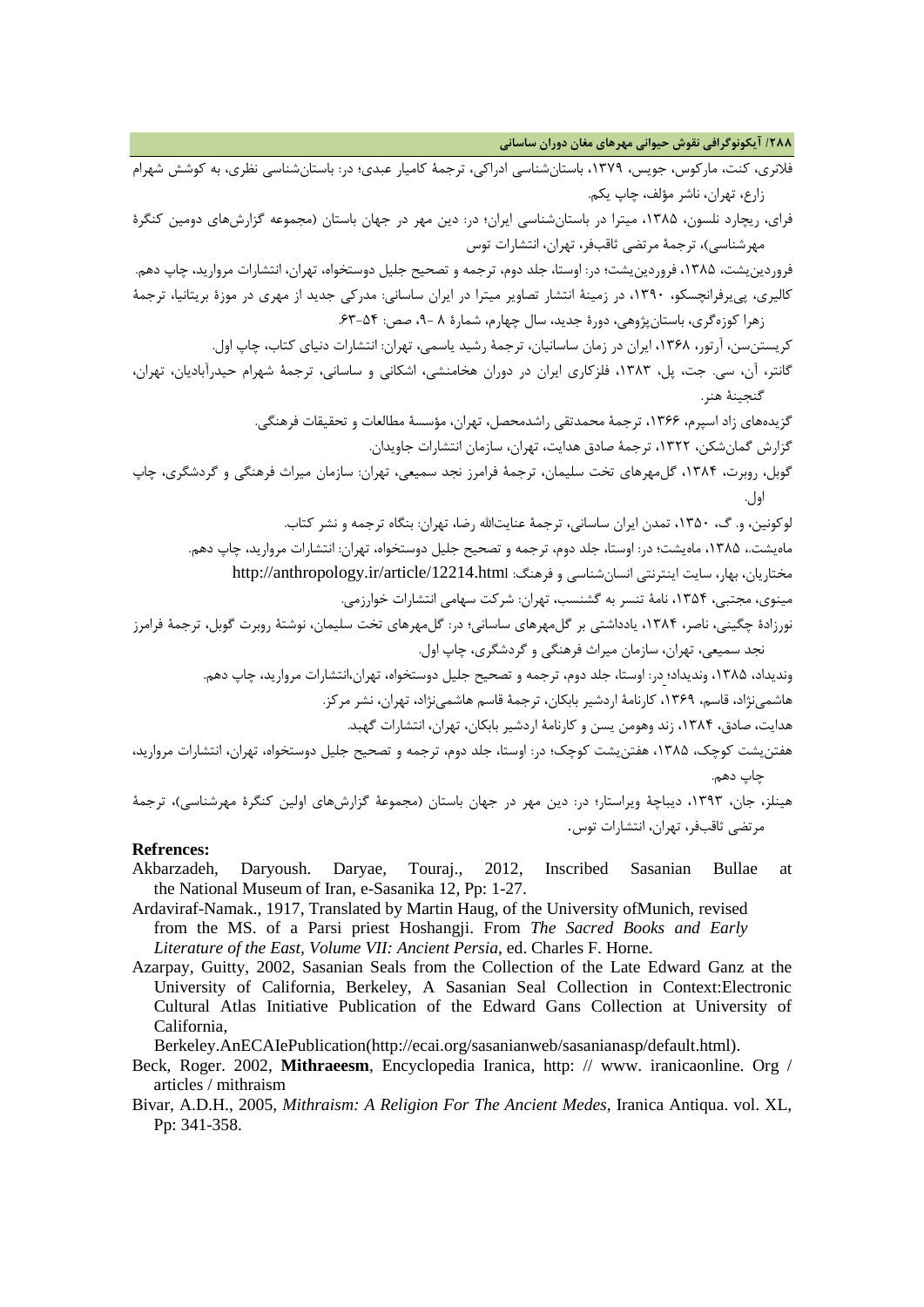**/288 آیکونوگرافی نقوش حیوانی مهرهاي مغان دوران ساسانی**

| فلانری، کنت، مارکوس، جویس، ۱۳۷۹، باستانشناسی ادراکی، ترجمهٔ کامیار عبدی؛ در: باستانشناسی نظری، به کوشش شهرام             |
|--------------------------------------------------------------------------------------------------------------------------|
| زارع، تهران، ناشر مؤلف، چاپ يكم.                                                                                         |
| فرای، ریچارد نلسون، ۱۳۸۵، میترا در باستانشناسی ایران؛ در: دین مهر در جهان باستان (مجموعه گزارشهای دومین کنگرهٔ           |
| مهرشناسی)، ترجمهٔ مرتضی ثاقبفر، تهران، انتشارات توس                                                                      |
| فروردین یشت، ۱۳۸۵، فروردین یشت؛ در: اوستا، جلد دوم، ترجمه و تصحیح جلیل دوستخواه، تهران، انتشارات مروارید، چاپ دهم.       |
| کالیری، پی یرفرانچسکو، ۱۳۹۰، در زمینهٔ انتشار تصاویر میترا در ایران ساسانی: مدرکی جدید از مهری در موزهٔ بریتانیا، ترجمهٔ |
| زهرا کوزهگری، باستانپژوهی، دورهٔ جدید، سال چهارم، شمارهٔ ۸ -۹، صص: ۵۴-۶۳.                                                |
| کریستن ن، آرتور، ۱۳۶۸، ایران در زمان ساسانیان، ترجمهٔ رشید یاسمی، تهران: انتشارات دنیای کتاب، چاپ اول.                   |
| گانتر، آن، سی. جت، پل، ۱۳۸۳، فلزکاری ایران در دوران هخامنشی، اشکانی و ساسانی، ترجمهٔ شهرام حیدرآبادیان، تهران،           |
| گنجينهٔ هنر.                                                                                                             |
| گزیدههای زاد اسپرم، ۱۳۶۶، ترجمهٔ محمدتقی راشدمحصل، تهران، مؤسسهٔ مطالعات و تحقیقات فرهنگی.                               |
| گزارش گمانشکن، ۱۳۲۲، ترجمهٔ صادق هدایت، تهران، سازمان انتشارات جاویدان.                                                  |
| گوبل، روبرت، ۱۳۸۴، گلمهرهای تخت سلیمان، ترجمهٔ فرامرز نجد سمیعی، تهران: سازمان میراث فرهنگی و گردشگری، چاپ               |
|                                                                                                                          |
| لوکونین، و. گ، ۱۳۵۰، تمدن ایران ساسانی، ترجمهٔ عنایتالله رضا، تهران: بنگاه ترجمه و نشر کتاب.                             |
| ماهیشت.، ۱۳۸۵، ماهیشت؛ در: اوستا، جلد دوم، ترجمه و تصحیح جلیل دوستخواه، تهران: انتشارات مروارید، چاپ دهم.                |
| مختاریان، بهار، سایت اینترنتی انسانشناسی و فرهنگ: http://anthropology.ir/article/12214.html                              |
| مینوی، مجتبی، ۱۳۵۴، نامهٔ تنسر به گشنسب، تهران: شرکت سهامی انتشارات خوارزمی.                                             |
| نورزادهٔ چگینی، ناصر، ۱۳۸۴، یادداشتی بر گلمهرهای ساسانی؛ در: گلمهرهای تخت سلیمان، نوشتهٔ روبرت گوبل، ترجمهٔ فرامرز       |
| نجد سمیعی، تهران، سازمان میراث فرهنگی و گردشگری، چاپ اول.                                                                |
| وندیداد، ۱۳۸۵، وندیداد؛ در: اوستا، جلد دوم، ترجمه و تصحیح جلیل دوستخواه، تهران،انتشارات مروارید، چاپ دهم.                |
| هاشمینژاد، قاسم، ۱۳۶۹، کارنامهٔ اردشیر بابکان، ترجمهٔ قاسم هاشمینژاد، تهران، نشر مرکز.                                   |
| هدایت، صادق، ۱۳۸۴، زند وهومن یسن و کارنامهٔ اردشیر بابکان، تهران، انتشارات گهبد.                                         |
| هفتن شت کوچک، ۱۳۸۵، هفتن یشت کوچک؛ در: اوستا، جلد دوم، ترجمه و تصحیح جلیل دوستخواه، تهران، انتشارات مروارید،             |
| چاپ دهم.                                                                                                                 |
| هینلز، جان، ۱۳۹۳، دیباچهٔ ویراستار؛ در: دین مهر در جهان باستان (مجموعهٔ گزارشهای اولین کنگرهٔ مهرشناسی)، ترجمهٔ          |
| مرتضى ثاقبفر، تهران، انتشارات توس.                                                                                       |
|                                                                                                                          |

#### **Refrences:**

- Akbarzadeh, Daryoush. Daryae, Touraj., 2012, Inscribed Sasanian Bullae at the National Museum of Iran, e-Sasanika 12, Pp: 1-27.
- Ardaviraf-Namak., 1917, Translated by Martin Haug, of the University ofMunich, revised from the MS. of a Parsi priest Hoshangji. From *The Sacred Books and Early Literature of the East, Volume VII: Ancient Persia*, ed. Charles F. Horne.
- Azarpay, Guitty, 2002, Sasanian Seals from the Collection of the Late Edward Ganz at the University of California, Berkeley, A Sasanian Seal Collection in Context:Electronic Cultural Atlas Initiative Publication of the Edward Gans Collection at University of California,

Berkeley.AnECAIePublication(http://ecai.org/sasanianweb/sasanianasp/default.html).

- Beck, Roger. 2002, **Mithraeesm**, Encyclopedia Iranica, http: // www. iranicaonline. Org / articles / mithraism
- Bivar, A.D.H., 2005, *Mithraism: A Religion For The Ancient Medes*, Iranica Antiqua. vol. XL, Pp: 341-358.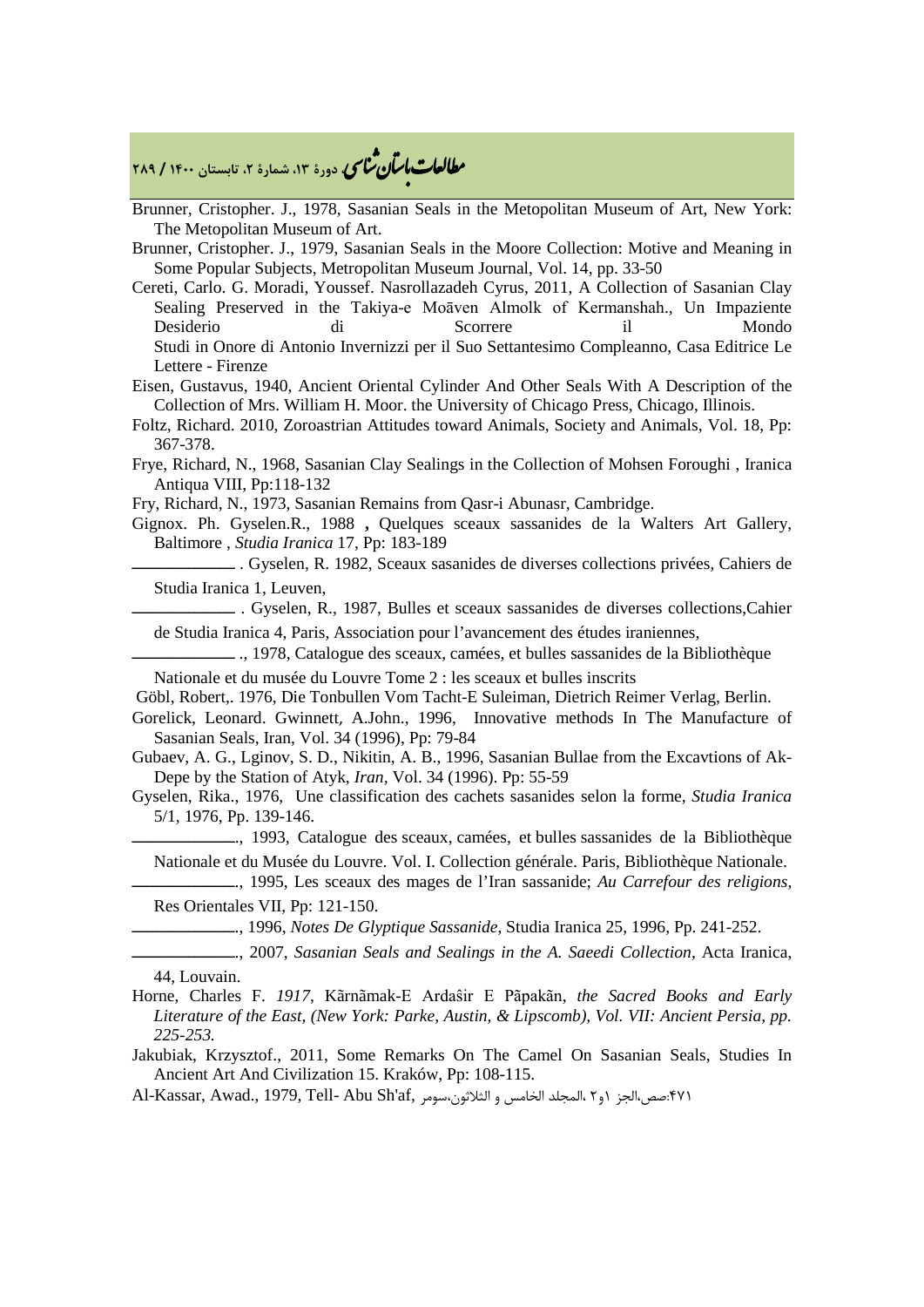# **، دورة ،13 شمارة ،2 تابستان <sup>1400</sup> / <sup>289</sup>** �نا� �طا ی �عات با�تان

- Brunner, Cristopher. J., 1978, Sasanian Seals in the Metopolitan Museum of Art, New York: The Metopolitan Museum of Art.
- Brunner, Cristopher. J., 1979, Sasanian Seals in the Moore Collection: Motive and Meaning in Some Popular Subjects, Metropolitan Museum Journal, Vol. 14, pp. 33-50
- Cereti, Carlo. G. Moradi, Youssef. Nasrollazadeh Cyrus, 2011, A Collection of Sasanian Clay Sealing Preserved in the Takiya-e Moāven Almolk of Kermanshah., Un Impaziente Desiderio di Scorrere il Mondo Studi in Onore di Antonio Invernizzi per il Suo Settantesimo Compleanno, Casa Editrice Le Lettere - Firenze
- Eisen, Gustavus, 1940, Ancient Oriental Cylinder And Other Seals With A Description of the Collection of Mrs. William H. Moor. the University of Chicago Press, Chicago, Illinois.
- Foltz, Richard. 2010, Zoroastrian Attitudes toward Animals, Society and Animals, Vol. 18, Pp: 367-378.
- Frye, Richard, N., 1968, Sasanian Clay Sealings in the Collection of Mohsen Foroughi , Iranica Antiqua VIII, Pp:118-132
- Fry, Richard, N., 1973, Sasanian Remains from Qasr-i Abunasr, Cambridge.
- Gignox. Ph. Gyselen.R., 1988 **,** Quelques sceaux sassanides de la Walters Art Gallery, Baltimore , *Studia Iranica* 17, Pp: 183-189

ــــــــــــــــــــ . Gyselen, R. 1982, Sceaux sasanides de diverses collections privées*,* Cahiers de Studia Iranica 1, Leuven,

 $-$ . Gyselen, R., 1987, Bulles et sceaux sassanides de diverses collections,Cahier de Studia Iranica 4, Paris, Association pour l'avancement des études iraniennes,

ــــــــــــــــــــ ., 1978, Catalogue des sceaux, camées, et bulles sassanides de la Bibliothèque

Nationale et du musée du Louvre Tome 2 : les sceaux et bulles inscrits

Göbl, Robert,. 1976, Die Tonbullen Vom Tacht-E Suleiman, Dietrich Reimer Verlag, Berlin.

Gorelick, Leonard. Gwinnett, A.John., 1996, Innovative methods In The Manufacture of Sasanian Seals, Iran, Vol. 34 (1996), Pp: 79-84

Gubaev, A. G., Lginov, S. D., Nikitin, A. B., 1996, Sasanian Bullae from the Excavtions of Ak-Depe by the Station of Atyk, *Iran,* Vol. 34 (1996). Pp: 55-59

Gyselen, Rika., 1976, Une classification des cachets sasanides selon la forme, *Studia Iranica*  5/1, 1976, Pp. 139-146.

ــــــــــــــــــــ., 1993, Catalogue des sceaux, camées, et bulles sassanides de la Bibliothèque

Nationale et du Musée du Louvre. Vol. I. Collection générale. Paris, Bibliothèque Nationale.

ــــــــــــــــــــ., 1995, Les sceaux des mages de l'Iran sassanide; *Au Carrefour des religions,*  Res Orientales VII, Pp: 121-150.

ــــــــــــــــــــ., 1996, *Notes De Glyptique Sassanide*, Studia Iranica 25, 1996, Pp. 241-252.

ــــــــــــــــــــ., 2007, *Sasanian Seals and Sealings in the A. Saeedi Collection,* Acta Iranica, 44, Louvain.

- Horne, Charles F. *1917*, Kãrnãmak-E Ardaŝir E Pãpakãn, *the Sacred Books and Early Literature of the East, (New York: Parke, Austin, & Lipscomb), Vol. VII: Ancient Persia, pp. 225-253.*
- Jakubiak, Krzysztof., 2011, Some Remarks On The Camel On Sasanian Seals, Studies In Ancient Art And Civilization 15. Kraków, Pp: 108-115.

۴۷۱:صص،الجز 1و۲ ،المجلد الخامس و الثلاثون،سومر ,Al-Kassar, Awad., 1979, Tell- Abu Sh'af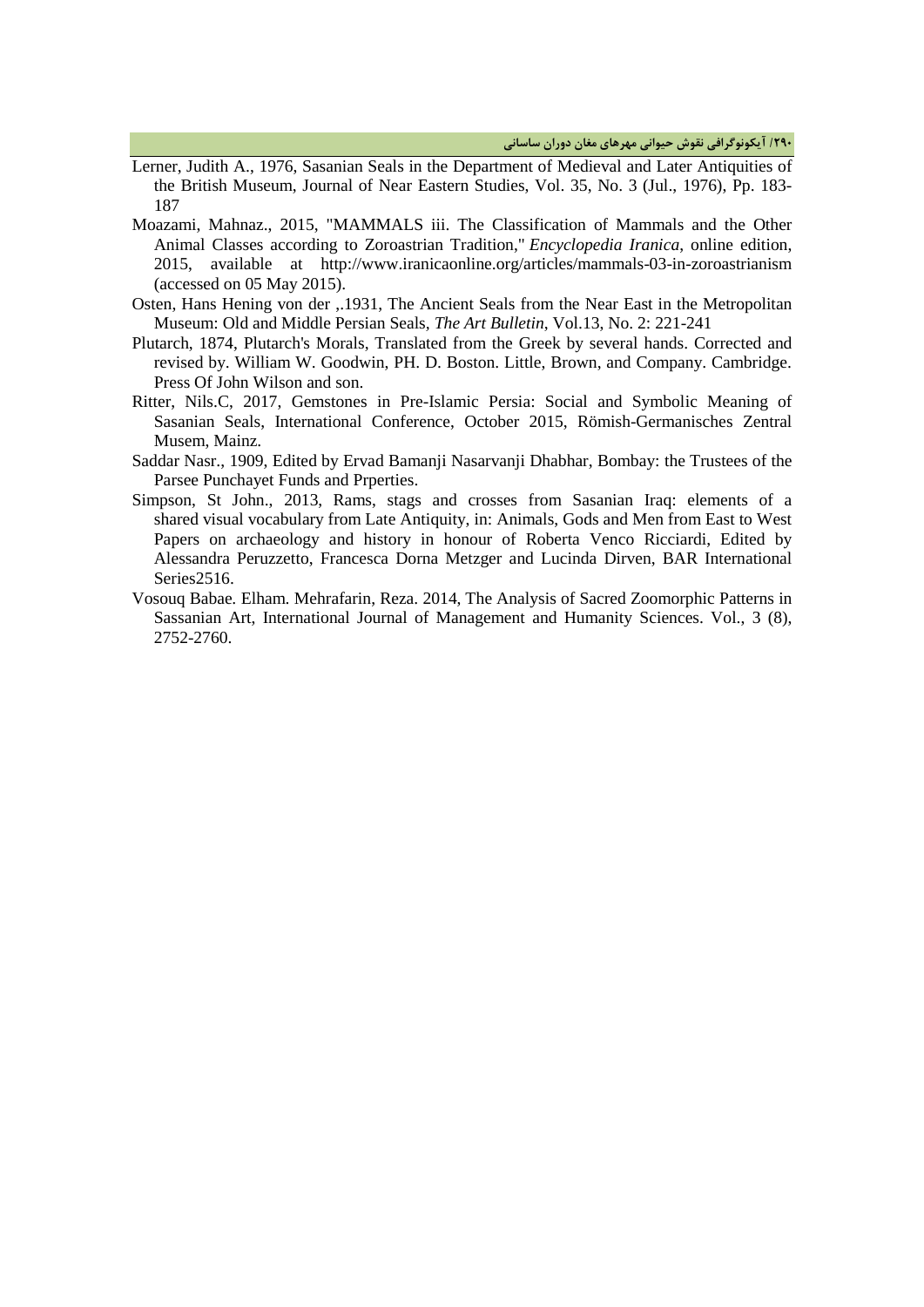**/290 آیکونوگرافی نقوش حیوانی مهرهاي مغان دوران ساسانی**

- Lerner, Judith A., 1976, Sasanian Seals in the Department of Medieval and Later Antiquities of the British Museum, Journal of Near Eastern Studies, Vol. 35, No. 3 (Jul., 1976), Pp. 183- 187
- Moazami, Mahnaz., 2015, "MAMMALS iii. The Classification of Mammals and the Other Animal Classes according to Zoroastrian Tradition," *Encyclopedia Iranica*, online edition, 2015, available at http://www.iranicaonline.org/articles/mammals-03-in-zoroastrianism (accessed on 05 May 2015).
- Osten, Hans Hening von der ,.1931, The Ancient Seals from the Near East in the Metropolitan Museum: Old and Middle Persian Seals*, The Art Bulletin*, Vol.13, No. 2: 221-241
- Plutarch, 1874, Plutarch's Morals, Translated from the Greek by several hands. Corrected and revised by. William W. Goodwin, PH. D. Boston. Little, Brown, and Company. Cambridge. Press Of John Wilson and son.
- Ritter, Nils.C, 2017, Gemstones in Pre-Islamic Persia: Social and Symbolic Meaning of Sasanian Seals, International Conference, October 2015, Römish-Germanisches Zentral Musem, Mainz.
- Saddar Nasr., 1909, Edited by Ervad Bamanji Nasarvanji Dhabhar, Bombay: the Trustees of the Parsee Punchayet Funds and Prperties.
- Simpson, St John., 2013, Rams, stags and crosses from Sasanian Iraq: elements of a shared visual vocabulary from Late Antiquity, in: Animals, Gods and Men from East to West Papers on archaeology and history in honour of Roberta Venco Ricciardi, Edited by Alessandra Peruzzetto, Francesca Dorna Metzger and Lucinda Dirven, BAR International Series<sub>2516</sub>.
- Vosouq Babae*.* Elham. Mehrafarin, Reza. 2014, The Analysis of Sacred Zoomorphic Patterns in Sassanian Art, International Journal of Management and Humanity Sciences. Vol., 3 (8), 2752-2760.